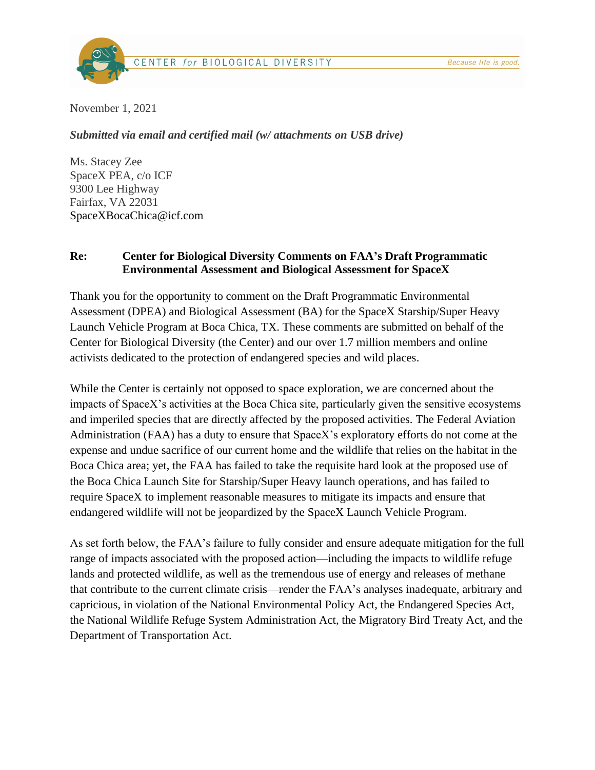

November 1, 2021

*Submitted via email and certified mail (w/ attachments on USB drive)*

Ms. Stacey Zee SpaceX PEA, c/o ICF 9300 Lee Highway Fairfax, VA 22031 SpaceXBocaChica@icf.com

### **Re: Center for Biological Diversity Comments on FAA's Draft Programmatic Environmental Assessment and Biological Assessment for SpaceX**

Thank you for the opportunity to comment on the Draft Programmatic Environmental Assessment (DPEA) and Biological Assessment (BA) for the SpaceX Starship/Super Heavy Launch Vehicle Program at Boca Chica, TX. These comments are submitted on behalf of the Center for Biological Diversity (the Center) and our over 1.7 million members and online activists dedicated to the protection of endangered species and wild places.

While the Center is certainly not opposed to space exploration, we are concerned about the impacts of SpaceX's activities at the Boca Chica site, particularly given the sensitive ecosystems and imperiled species that are directly affected by the proposed activities. The Federal Aviation Administration (FAA) has a duty to ensure that SpaceX's exploratory efforts do not come at the expense and undue sacrifice of our current home and the wildlife that relies on the habitat in the Boca Chica area; yet, the FAA has failed to take the requisite hard look at the proposed use of the Boca Chica Launch Site for Starship/Super Heavy launch operations, and has failed to require SpaceX to implement reasonable measures to mitigate its impacts and ensure that endangered wildlife will not be jeopardized by the SpaceX Launch Vehicle Program.

As set forth below, the FAA's failure to fully consider and ensure adequate mitigation for the full range of impacts associated with the proposed action—including the impacts to wildlife refuge lands and protected wildlife, as well as the tremendous use of energy and releases of methane that contribute to the current climate crisis—render the FAA's analyses inadequate, arbitrary and capricious, in violation of the National Environmental Policy Act, the Endangered Species Act, the National Wildlife Refuge System Administration Act, the Migratory Bird Treaty Act, and the Department of Transportation Act.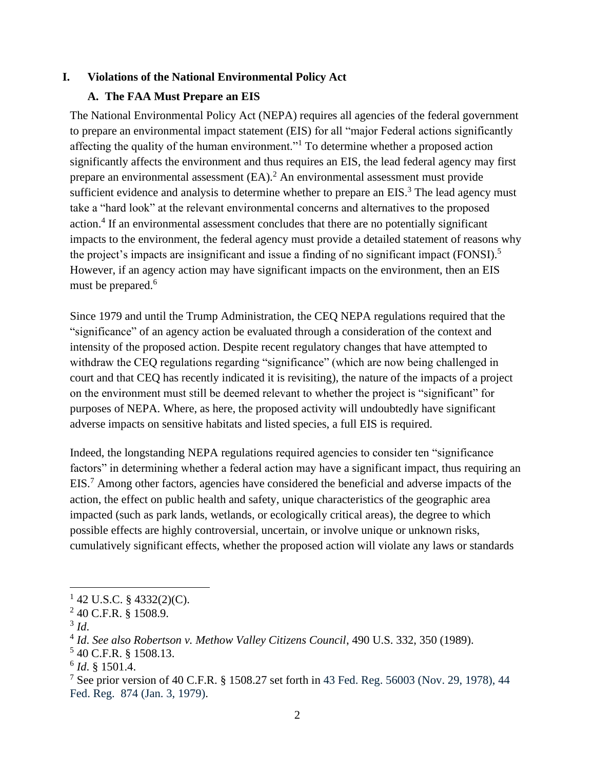#### **I. Violations of the National Environmental Policy Act**

## **A. The FAA Must Prepare an EIS**

The National Environmental Policy Act (NEPA) requires all agencies of the federal government to prepare an environmental impact statement (EIS) for all "major Federal actions significantly affecting the quality of the human environment."<sup>1</sup> To determine whether a proposed action significantly affects the environment and thus requires an EIS, the lead federal agency may first prepare an environmental assessment  $(EA)$ .<sup>2</sup> An environmental assessment must provide sufficient evidence and analysis to determine whether to prepare an  $EIS$ <sup>3</sup>. The lead agency must take a "hard look" at the relevant environmental concerns and alternatives to the proposed action.<sup>4</sup> If an environmental assessment concludes that there are no potentially significant impacts to the environment, the federal agency must provide a detailed statement of reasons why the project's impacts are insignificant and issue a finding of no significant impact (FONSI).<sup>5</sup> However, if an agency action may have significant impacts on the environment, then an EIS must be prepared.<sup>6</sup>

Since 1979 and until the Trump Administration, the CEQ NEPA regulations required that the "significance" of an agency action be evaluated through a consideration of the context and intensity of the proposed action. Despite recent regulatory changes that have attempted to withdraw the CEQ regulations regarding "significance" (which are now being challenged in court and that CEQ has recently indicated it is revisiting), the nature of the impacts of a project on the environment must still be deemed relevant to whether the project is "significant" for purposes of NEPA. Where, as here, the proposed activity will undoubtedly have significant adverse impacts on sensitive habitats and listed species, a full EIS is required.

Indeed, the longstanding NEPA regulations required agencies to consider ten "significance factors" in determining whether a federal action may have a significant impact, thus requiring an EIS.<sup>7</sup> Among other factors, agencies have considered the beneficial and adverse impacts of the action, the effect on public health and safety, unique characteristics of the geographic area impacted (such as park lands, wetlands, or ecologically critical areas), the degree to which possible effects are highly controversial, uncertain, or involve unique or unknown risks, cumulatively significant effects, whether the proposed action will violate any laws or standards

 $1$  42 U.S.C. § 4332(2)(C).

<sup>&</sup>lt;sup>2</sup> 40 C.F.R. § 1508.9.

<sup>3</sup> *Id*.

<sup>4</sup> *Id*. *See also Robertson v. Methow Valley Citizens Council*, 490 U.S. 332, 350 (1989).

<sup>5</sup> 40 C.F.R. § 1508.13.

<sup>6</sup> *Id*. § 1501.4.

<sup>&</sup>lt;sup>7</sup> See prior version of 40 C.F.R. § 1508.27 set forth in 43 Fed. Reg. 56003 (Nov. 29, 1978), 44 Fed. Reg. 874 (Jan. 3, 1979).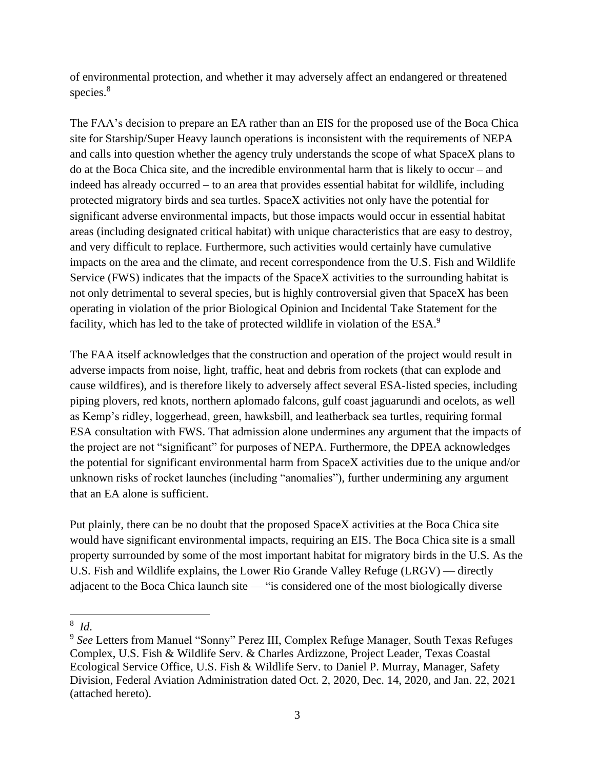of environmental protection, and whether it may adversely affect an endangered or threatened species. 8

The FAA's decision to prepare an EA rather than an EIS for the proposed use of the Boca Chica site for Starship/Super Heavy launch operations is inconsistent with the requirements of NEPA and calls into question whether the agency truly understands the scope of what SpaceX plans to do at the Boca Chica site, and the incredible environmental harm that is likely to occur – and indeed has already occurred – to an area that provides essential habitat for wildlife, including protected migratory birds and sea turtles. SpaceX activities not only have the potential for significant adverse environmental impacts, but those impacts would occur in essential habitat areas (including designated critical habitat) with unique characteristics that are easy to destroy, and very difficult to replace. Furthermore, such activities would certainly have cumulative impacts on the area and the climate, and recent correspondence from the U.S. Fish and Wildlife Service (FWS) indicates that the impacts of the SpaceX activities to the surrounding habitat is not only detrimental to several species, but is highly controversial given that SpaceX has been operating in violation of the prior Biological Opinion and Incidental Take Statement for the facility, which has led to the take of protected wildlife in violation of the ESA.<sup>9</sup>

The FAA itself acknowledges that the construction and operation of the project would result in adverse impacts from noise, light, traffic, heat and debris from rockets (that can explode and cause wildfires), and is therefore likely to adversely affect several ESA-listed species, including piping plovers, red knots, northern aplomado falcons, gulf coast jaguarundi and ocelots, as well as Kemp's ridley, loggerhead, green, hawksbill, and leatherback sea turtles, requiring formal ESA consultation with FWS. That admission alone undermines any argument that the impacts of the project are not "significant" for purposes of NEPA. Furthermore, the DPEA acknowledges the potential for significant environmental harm from SpaceX activities due to the unique and/or unknown risks of rocket launches (including "anomalies"), further undermining any argument that an EA alone is sufficient.

Put plainly, there can be no doubt that the proposed SpaceX activities at the Boca Chica site would have significant environmental impacts, requiring an EIS. The Boca Chica site is a small property surrounded by some of the most important habitat for migratory birds in the U.S. As the U.S. Fish and Wildlife explains, the Lower Rio Grande Valley Refuge (LRGV) — directly adjacent to the Boca Chica launch site — "is considered one of the most biologically diverse

8 *Id*.

<sup>9</sup> *See* Letters from Manuel "Sonny" Perez III, Complex Refuge Manager, South Texas Refuges Complex, U.S. Fish & Wildlife Serv. & Charles Ardizzone, Project Leader, Texas Coastal Ecological Service Office, U.S. Fish & Wildlife Serv. to Daniel P. Murray, Manager, Safety Division, Federal Aviation Administration dated Oct. 2, 2020, Dec. 14, 2020, and Jan. 22, 2021 (attached hereto).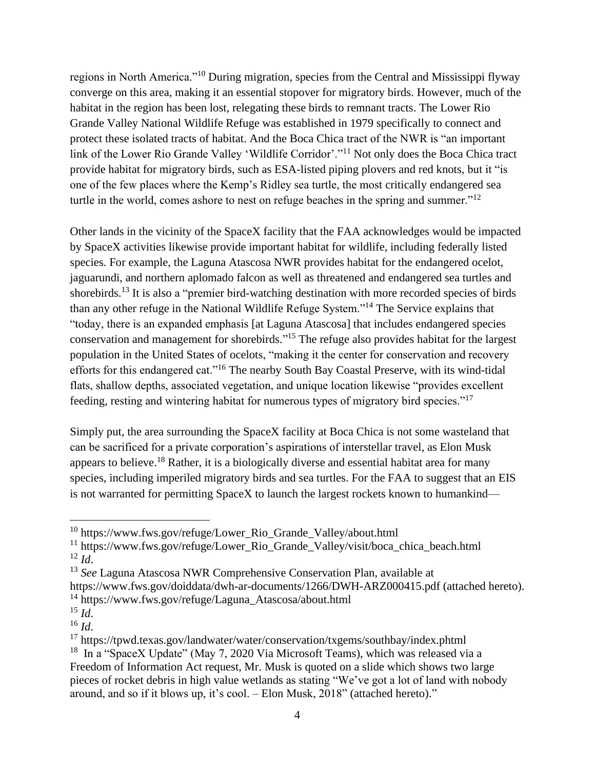regions in North America."<sup>10</sup> During migration, species from the Central and Mississippi flyway converge on this area, making it an essential stopover for migratory birds. However, much of the habitat in the region has been lost, relegating these birds to remnant tracts. The Lower Rio Grande Valley National Wildlife Refuge was established in 1979 specifically to connect and protect these isolated tracts of habitat. And the Boca Chica tract of the NWR is "an important link of the Lower Rio Grande Valley 'Wildlife Corridor'."<sup>11</sup> Not only does the Boca Chica tract provide habitat for migratory birds, such as ESA-listed piping plovers and red knots, but it "is one of the few places where the Kemp's Ridley sea turtle, the most critically endangered sea turtle in the world, comes ashore to nest on refuge beaches in the spring and summer."<sup>12</sup>

Other lands in the vicinity of the SpaceX facility that the FAA acknowledges would be impacted by SpaceX activities likewise provide important habitat for wildlife, including federally listed species. For example, the Laguna Atascosa NWR provides habitat for the endangered ocelot, jaguarundi, and northern aplomado falcon as well as threatened and endangered sea turtles and shorebirds.<sup>13</sup> It is also a "premier bird-watching destination with more recorded species of birds than any other refuge in the National Wildlife Refuge System."<sup>14</sup> The Service explains that "today, there is an expanded emphasis [at Laguna Atascosa] that includes endangered species conservation and management for shorebirds." <sup>15</sup> The refuge also provides habitat for the largest population in the United States of ocelots, "making it the center for conservation and recovery efforts for this endangered cat."<sup>16</sup> The nearby South Bay Coastal Preserve, with its wind-tidal flats, shallow depths, associated vegetation, and unique location likewise "provides excellent feeding, resting and wintering habitat for numerous types of migratory bird species."<sup>17</sup>

Simply put, the area surrounding the SpaceX facility at Boca Chica is not some wasteland that can be sacrificed for a private corporation's aspirations of interstellar travel, as Elon Musk appears to believe.<sup>18</sup> Rather, it is a biologically diverse and essential habitat area for many species, including imperiled migratory birds and sea turtles. For the FAA to suggest that an EIS is not warranted for permitting SpaceX to launch the largest rockets known to humankind—

 $10$  https://www.fws.gov/refuge/Lower Rio Grande Valley/about.html

<sup>11</sup> https://www.fws.gov/refuge/Lower\_Rio\_Grande\_Valley/visit/boca\_chica\_beach.html  $12$  *Id.* 

<sup>13</sup> *See* Laguna Atascosa NWR Comprehensive Conservation Plan, available at

https://www.fws.gov/doiddata/dwh-ar-documents/1266/DWH-ARZ000415.pdf (attached hereto).

<sup>&</sup>lt;sup>14</sup> https://www.fws.gov/refuge/Laguna Atascosa/about.html

 $^{15}$  *Id.* <sup>16</sup> *Id*.

<sup>17</sup> https://tpwd.texas.gov/landwater/water/conservation/txgems/southbay/index.phtml

<sup>&</sup>lt;sup>18</sup> In a "SpaceX Update" (May 7, 2020 Via Microsoft Teams), which was released via a Freedom of Information Act request, Mr. Musk is quoted on a slide which shows two large pieces of rocket debris in high value wetlands as stating "We've got a lot of land with nobody around, and so if it blows up, it's cool. – Elon Musk, 2018" (attached hereto)."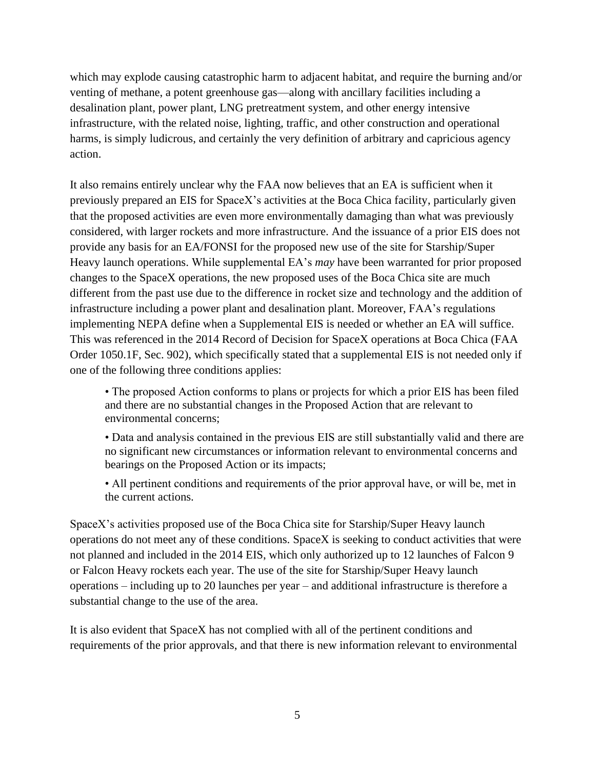which may explode causing catastrophic harm to adjacent habitat, and require the burning and/or venting of methane, a potent greenhouse gas—along with ancillary facilities including a desalination plant, power plant, LNG pretreatment system, and other energy intensive infrastructure, with the related noise, lighting, traffic, and other construction and operational harms, is simply ludicrous, and certainly the very definition of arbitrary and capricious agency action.

It also remains entirely unclear why the FAA now believes that an EA is sufficient when it previously prepared an EIS for SpaceX's activities at the Boca Chica facility, particularly given that the proposed activities are even more environmentally damaging than what was previously considered, with larger rockets and more infrastructure. And the issuance of a prior EIS does not provide any basis for an EA/FONSI for the proposed new use of the site for Starship/Super Heavy launch operations. While supplemental EA's *may* have been warranted for prior proposed changes to the SpaceX operations, the new proposed uses of the Boca Chica site are much different from the past use due to the difference in rocket size and technology and the addition of infrastructure including a power plant and desalination plant. Moreover, FAA's regulations implementing NEPA define when a Supplemental EIS is needed or whether an EA will suffice. This was referenced in the 2014 Record of Decision for SpaceX operations at Boca Chica (FAA Order 1050.1F, Sec. 902), which specifically stated that a supplemental EIS is not needed only if one of the following three conditions applies:

• The proposed Action conforms to plans or projects for which a prior EIS has been filed and there are no substantial changes in the Proposed Action that are relevant to environmental concerns;

• Data and analysis contained in the previous EIS are still substantially valid and there are no significant new circumstances or information relevant to environmental concerns and bearings on the Proposed Action or its impacts;

• All pertinent conditions and requirements of the prior approval have, or will be, met in the current actions.

SpaceX's activities proposed use of the Boca Chica site for Starship/Super Heavy launch operations do not meet any of these conditions. SpaceX is seeking to conduct activities that were not planned and included in the 2014 EIS, which only authorized up to 12 launches of Falcon 9 or Falcon Heavy rockets each year. The use of the site for Starship/Super Heavy launch operations – including up to 20 launches per year – and additional infrastructure is therefore a substantial change to the use of the area.

It is also evident that SpaceX has not complied with all of the pertinent conditions and requirements of the prior approvals, and that there is new information relevant to environmental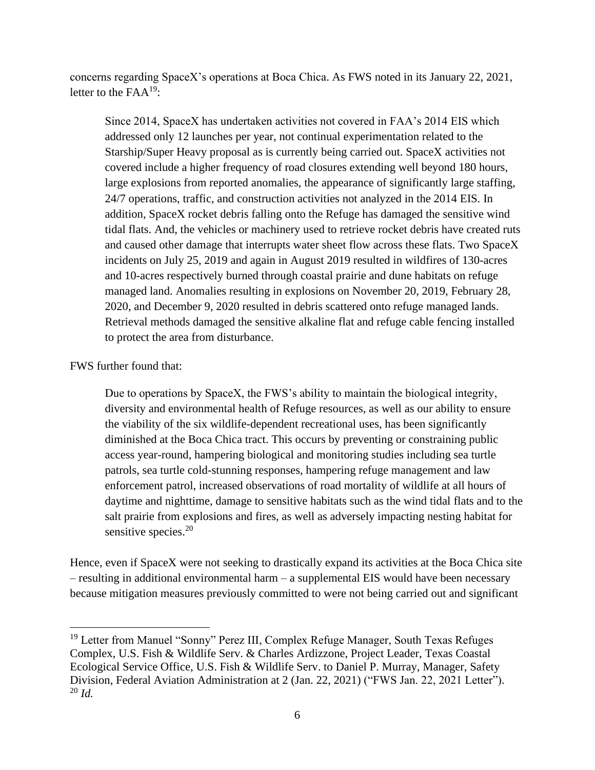concerns regarding SpaceX's operations at Boca Chica. As FWS noted in its January 22, 2021, letter to the  $FAA^{19}$ :

Since 2014, SpaceX has undertaken activities not covered in FAA's 2014 EIS which addressed only 12 launches per year, not continual experimentation related to the Starship/Super Heavy proposal as is currently being carried out. SpaceX activities not covered include a higher frequency of road closures extending well beyond 180 hours, large explosions from reported anomalies, the appearance of significantly large staffing, 24/7 operations, traffic, and construction activities not analyzed in the 2014 EIS. In addition, SpaceX rocket debris falling onto the Refuge has damaged the sensitive wind tidal flats. And, the vehicles or machinery used to retrieve rocket debris have created ruts and caused other damage that interrupts water sheet flow across these flats. Two SpaceX incidents on July 25, 2019 and again in August 2019 resulted in wildfires of 130-acres and 10-acres respectively burned through coastal prairie and dune habitats on refuge managed land. Anomalies resulting in explosions on November 20, 2019, February 28, 2020, and December 9, 2020 resulted in debris scattered onto refuge managed lands. Retrieval methods damaged the sensitive alkaline flat and refuge cable fencing installed to protect the area from disturbance.

### FWS further found that:

Due to operations by SpaceX, the FWS's ability to maintain the biological integrity, diversity and environmental health of Refuge resources, as well as our ability to ensure the viability of the six wildlife-dependent recreational uses, has been significantly diminished at the Boca Chica tract. This occurs by preventing or constraining public access year-round, hampering biological and monitoring studies including sea turtle patrols, sea turtle cold-stunning responses, hampering refuge management and law enforcement patrol, increased observations of road mortality of wildlife at all hours of daytime and nighttime, damage to sensitive habitats such as the wind tidal flats and to the salt prairie from explosions and fires, as well as adversely impacting nesting habitat for sensitive species.<sup>20</sup>

Hence, even if SpaceX were not seeking to drastically expand its activities at the Boca Chica site – resulting in additional environmental harm – a supplemental EIS would have been necessary because mitigation measures previously committed to were not being carried out and significant

<sup>&</sup>lt;sup>19</sup> Letter from Manuel "Sonny" Perez III, Complex Refuge Manager, South Texas Refuges Complex, U.S. Fish & Wildlife Serv. & Charles Ardizzone, Project Leader, Texas Coastal Ecological Service Office, U.S. Fish & Wildlife Serv. to Daniel P. Murray, Manager, Safety Division, Federal Aviation Administration at 2 (Jan. 22, 2021) ("FWS Jan. 22, 2021 Letter"). <sup>20</sup> *Id.*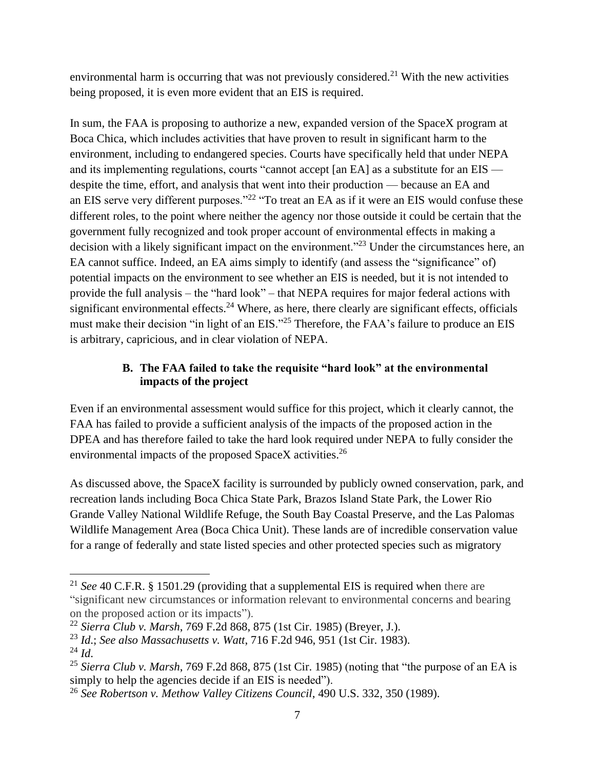environmental harm is occurring that was not previously considered.<sup>21</sup> With the new activities being proposed, it is even more evident that an EIS is required.

In sum, the FAA is proposing to authorize a new, expanded version of the SpaceX program at Boca Chica, which includes activities that have proven to result in significant harm to the environment, including to endangered species. Courts have specifically held that under NEPA and its implementing regulations, courts "cannot accept [an EA] as a substitute for an EIS despite the time, effort, and analysis that went into their production — because an EA and an EIS serve very different purposes."<sup>22</sup> "To treat an EA as if it were an EIS would confuse these different roles, to the point where neither the agency nor those outside it could be certain that the government fully recognized and took proper account of environmental effects in making a decision with a likely significant impact on the environment.<sup>223</sup> Under the circumstances here, an EA cannot suffice. Indeed, an EA aims simply to identify (and assess the "significance" of) potential impacts on the environment to see whether an EIS is needed, but it is not intended to provide the full analysis – the "hard look" – that NEPA requires for major federal actions with significant environmental effects.<sup>24</sup> Where, as here, there clearly are significant effects, officials must make their decision "in light of an EIS."<sup>25</sup> Therefore, the FAA's failure to produce an EIS is arbitrary, capricious, and in clear violation of NEPA.

## **B. The FAA failed to take the requisite "hard look" at the environmental impacts of the project**

Even if an environmental assessment would suffice for this project, which it clearly cannot, the FAA has failed to provide a sufficient analysis of the impacts of the proposed action in the DPEA and has therefore failed to take the hard look required under NEPA to fully consider the environmental impacts of the proposed SpaceX activities.<sup>26</sup>

As discussed above, the SpaceX facility is surrounded by publicly owned conservation, park, and recreation lands including Boca Chica State Park, Brazos Island State Park, the Lower Rio Grande Valley National Wildlife Refuge, the South Bay Coastal Preserve, and the Las Palomas Wildlife Management Area (Boca Chica Unit). These lands are of incredible conservation value for a range of federally and state listed species and other protected species such as migratory

<sup>21</sup> *See* 40 C.F.R. § 1501.29 (providing that a supplemental EIS is required when there are "significant new circumstances or information relevant to environmental concerns and bearing on the proposed action or its impacts").

<sup>22</sup> *Sierra Club v. Marsh*, 769 F.2d 868, 875 (1st Cir. 1985) (Breyer, J.).

<sup>23</sup> *Id*.; *See also Massachusetts v. Watt*, 716 F.2d 946, 951 (1st Cir. 1983).  $^{24}$  *Id.* 

<sup>25</sup> *Sierra Club v. Marsh*, 769 F.2d 868, 875 (1st Cir. 1985) (noting that "the purpose of an EA is simply to help the agencies decide if an EIS is needed").

<sup>26</sup> *See Robertson v. Methow Valley Citizens Council*, 490 U.S. 332, 350 (1989).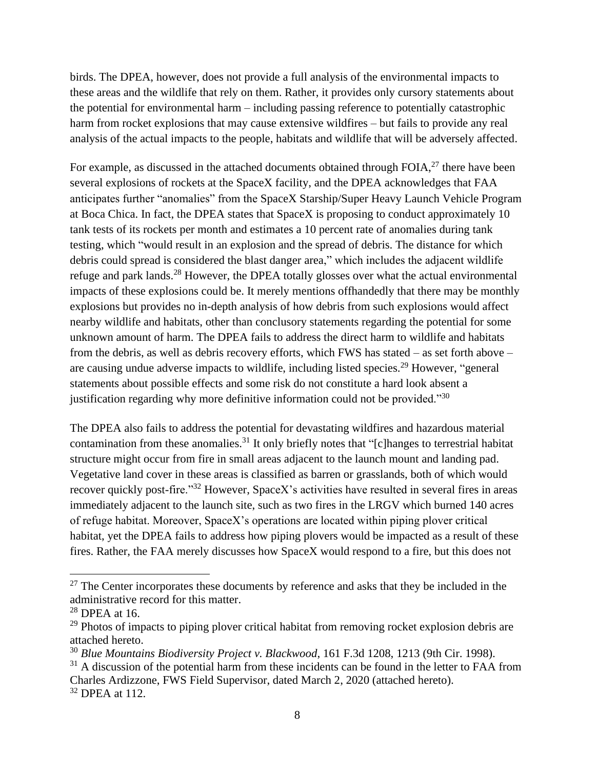birds. The DPEA, however, does not provide a full analysis of the environmental impacts to these areas and the wildlife that rely on them. Rather, it provides only cursory statements about the potential for environmental harm – including passing reference to potentially catastrophic harm from rocket explosions that may cause extensive wildfires – but fails to provide any real analysis of the actual impacts to the people, habitats and wildlife that will be adversely affected.

For example, as discussed in the attached documents obtained through FOIA, $^{27}$  there have been several explosions of rockets at the SpaceX facility, and the DPEA acknowledges that FAA anticipates further "anomalies" from the SpaceX Starship/Super Heavy Launch Vehicle Program at Boca Chica. In fact, the DPEA states that SpaceX is proposing to conduct approximately 10 tank tests of its rockets per month and estimates a 10 percent rate of anomalies during tank testing, which "would result in an explosion and the spread of debris. The distance for which debris could spread is considered the blast danger area," which includes the adjacent wildlife refuge and park lands.<sup>28</sup> However, the DPEA totally glosses over what the actual environmental impacts of these explosions could be. It merely mentions offhandedly that there may be monthly explosions but provides no in-depth analysis of how debris from such explosions would affect nearby wildlife and habitats, other than conclusory statements regarding the potential for some unknown amount of harm. The DPEA fails to address the direct harm to wildlife and habitats from the debris, as well as debris recovery efforts, which FWS has stated – as set forth above – are causing undue adverse impacts to wildlife, including listed species.<sup>29</sup> However, "general statements about possible effects and some risk do not constitute a hard look absent a justification regarding why more definitive information could not be provided."<sup>30</sup>

The DPEA also fails to address the potential for devastating wildfires and hazardous material contamination from these anomalies.<sup>31</sup> It only briefly notes that "[c]hanges to terrestrial habitat structure might occur from fire in small areas adjacent to the launch mount and landing pad. Vegetative land cover in these areas is classified as barren or grasslands, both of which would recover quickly post-fire."<sup>32</sup> However, SpaceX's activities have resulted in several fires in areas immediately adjacent to the launch site, such as two fires in the LRGV which burned 140 acres of refuge habitat. Moreover, SpaceX's operations are located within piping plover critical habitat, yet the DPEA fails to address how piping plovers would be impacted as a result of these fires. Rather, the FAA merely discusses how SpaceX would respond to a fire, but this does not

 $27$  The Center incorporates these documents by reference and asks that they be included in the administrative record for this matter.

<sup>28</sup> DPEA at 16.

<sup>&</sup>lt;sup>29</sup> Photos of impacts to piping plover critical habitat from removing rocket explosion debris are attached hereto.

<sup>30</sup> *Blue Mountains Biodiversity Project v. Blackwood*, 161 F.3d 1208, 1213 (9th Cir. 1998).

 $31$  A discussion of the potential harm from these incidents can be found in the letter to FAA from Charles Ardizzone, FWS Field Supervisor, dated March 2, 2020 (attached hereto). <sup>32</sup> DPEA at 112.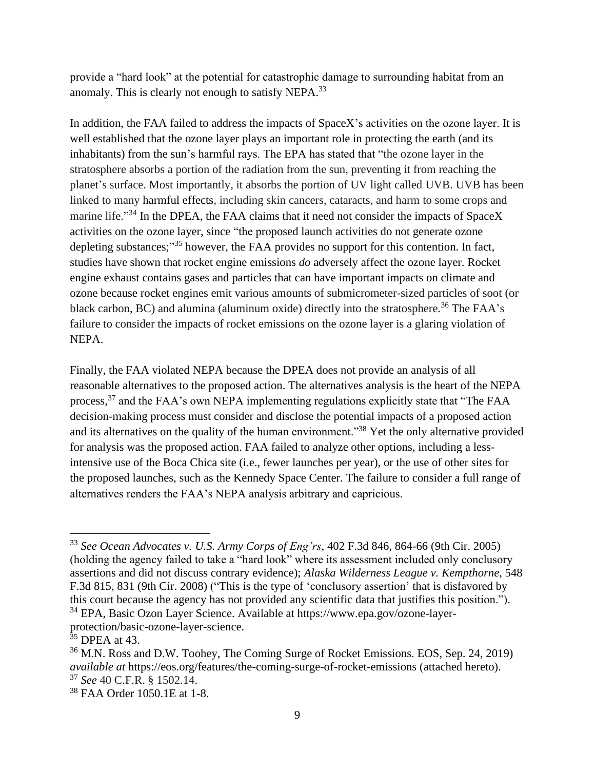provide a "hard look" at the potential for catastrophic damage to surrounding habitat from an anomaly. This is clearly not enough to satisfy NEPA.<sup>33</sup>

In addition, the FAA failed to address the impacts of SpaceX's activities on the ozone layer. It is well established that the ozone layer plays an important role in protecting the earth (and its inhabitants) from the sun's harmful rays. The EPA has stated that "the ozone layer in the stratosphere absorbs a portion of the radiation from the sun, preventing it from reaching the planet's surface. Most importantly, it absorbs the portion of UV light called UVB. UVB has been linked to many harmful effects, including skin cancers, cataracts, and harm to some crops and marine life."<sup>34</sup> In the DPEA, the FAA claims that it need not consider the impacts of SpaceX activities on the ozone layer, since "the proposed launch activities do not generate ozone depleting substances;"<sup>35</sup> however, the FAA provides no support for this contention. In fact, studies have shown that rocket engine emissions *do* adversely affect the ozone layer. Rocket engine exhaust contains gases and particles that can have important impacts on climate and ozone because rocket engines emit various amounts of submicrometer-sized particles of soot (or black carbon, BC) and alumina (aluminum oxide) directly into the stratosphere.<sup>36</sup> The FAA's failure to consider the impacts of rocket emissions on the ozone layer is a glaring violation of NEPA.

Finally, the FAA violated NEPA because the DPEA does not provide an analysis of all reasonable alternatives to the proposed action. The alternatives analysis is the heart of the NEPA process,<sup>37</sup> and the FAA's own NEPA implementing regulations explicitly state that "The FAA decision-making process must consider and disclose the potential impacts of a proposed action and its alternatives on the quality of the human environment."<sup>38</sup> Yet the only alternative provided for analysis was the proposed action. FAA failed to analyze other options, including a lessintensive use of the Boca Chica site (i.e., fewer launches per year), or the use of other sites for the proposed launches, such as the Kennedy Space Center. The failure to consider a full range of alternatives renders the FAA's NEPA analysis arbitrary and capricious.

<sup>33</sup> *See Ocean Advocates v. U.S. Army Corps of Eng'rs*, 402 F.3d 846, 864-66 (9th Cir. 2005) (holding the agency failed to take a "hard look" where its assessment included only conclusory assertions and did not discuss contrary evidence); *Alaska Wilderness League v. Kempthorne*, 548 F.3d 815, 831 (9th Cir. 2008) ("This is the type of 'conclusory assertion' that is disfavored by this court because the agency has not provided any scientific data that justifies this position."). <sup>34</sup> EPA, Basic Ozon Layer Science. Available at https://www.epa.gov/ozone-layer-

protection/basic-ozone-layer-science.

 $35$  DPEA at 43.

<sup>36</sup> M.N. Ross and D.W. Toohey, The Coming Surge of Rocket Emissions. EOS, Sep. 24, 2019) *available at* https://eos.org/features/the-coming-surge-of-rocket-emissions (attached hereto). <sup>37</sup> *See* 40 C.F.R. § 1502.14.

<sup>38</sup> FAA Order 1050.1E at 1-8.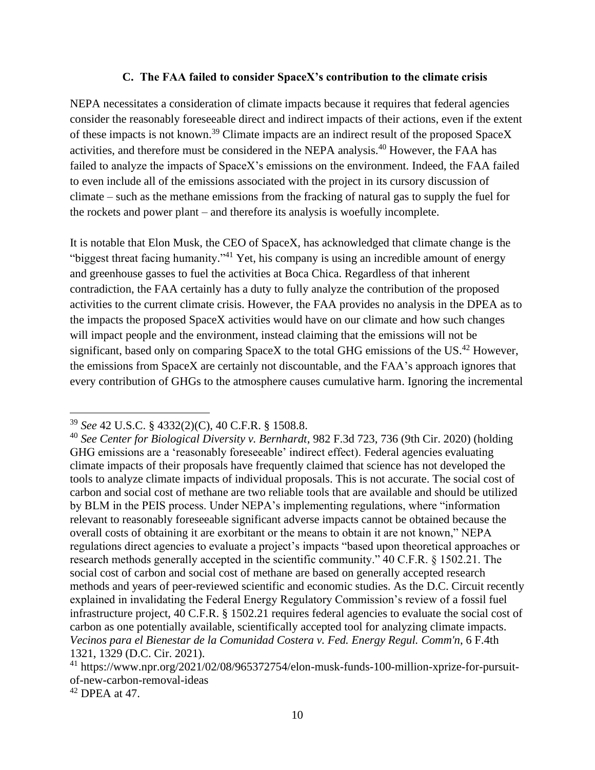#### **C. The FAA failed to consider SpaceX's contribution to the climate crisis**

NEPA necessitates a consideration of climate impacts because it requires that federal agencies consider the reasonably foreseeable direct and indirect impacts of their actions, even if the extent of these impacts is not known.<sup>39</sup> Climate impacts are an indirect result of the proposed SpaceX activities, and therefore must be considered in the NEPA analysis.<sup>40</sup> However, the FAA has failed to analyze the impacts of SpaceX's emissions on the environment. Indeed, the FAA failed to even include all of the emissions associated with the project in its cursory discussion of climate – such as the methane emissions from the fracking of natural gas to supply the fuel for the rockets and power plant – and therefore its analysis is woefully incomplete.

It is notable that Elon Musk, the CEO of SpaceX, has acknowledged that climate change is the "biggest threat facing humanity."<sup>41</sup> Yet, his company is using an incredible amount of energy and greenhouse gasses to fuel the activities at Boca Chica. Regardless of that inherent contradiction, the FAA certainly has a duty to fully analyze the contribution of the proposed activities to the current climate crisis. However, the FAA provides no analysis in the DPEA as to the impacts the proposed SpaceX activities would have on our climate and how such changes will impact people and the environment, instead claiming that the emissions will not be significant, based only on comparing SpaceX to the total GHG emissions of the US.<sup>42</sup> However, the emissions from SpaceX are certainly not discountable, and the FAA's approach ignores that every contribution of GHGs to the atmosphere causes cumulative harm. Ignoring the incremental

<sup>39</sup> *See* 42 U.S.C. § 4332(2)(C), 40 C.F.R. § 1508.8.

<sup>40</sup> *See Center for Biological Diversity v. Bernhardt*, 982 F.3d 723, 736 (9th Cir. 2020) (holding GHG emissions are a 'reasonably foreseeable' indirect effect). Federal agencies evaluating climate impacts of their proposals have frequently claimed that science has not developed the tools to analyze climate impacts of individual proposals. This is not accurate. The social cost of carbon and social cost of methane are two reliable tools that are available and should be utilized by BLM in the PEIS process. Under NEPA's implementing regulations, where "information relevant to reasonably foreseeable significant adverse impacts cannot be obtained because the overall costs of obtaining it are exorbitant or the means to obtain it are not known," NEPA regulations direct agencies to evaluate a project's impacts "based upon theoretical approaches or research methods generally accepted in the scientific community." 40 C.F.R. § 1502.21. The social cost of carbon and social cost of methane are based on generally accepted research methods and years of peer-reviewed scientific and economic studies. As the D.C. Circuit recently explained in invalidating the Federal Energy Regulatory Commission's review of a fossil fuel infrastructure project, 40 C.F.R. § 1502.21 requires federal agencies to evaluate the social cost of carbon as one potentially available, scientifically accepted tool for analyzing climate impacts. *Vecinos para el Bienestar de la Comunidad Costera v. Fed. Energy Regul. Comm'n*, 6 F.4th 1321, 1329 (D.C. Cir. 2021).

<sup>&</sup>lt;sup>41</sup> https://www.npr.org/2021/02/08/965372754/elon-musk-funds-100-million-xprize-for-pursuitof-new-carbon-removal-ideas

 $42$  DPEA at 47.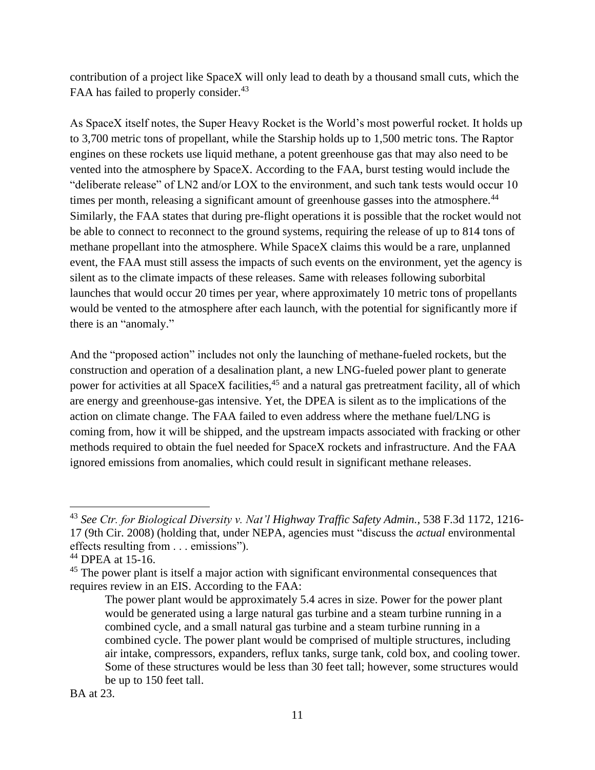contribution of a project like SpaceX will only lead to death by a thousand small cuts, which the FAA has failed to properly consider.<sup>43</sup>

As SpaceX itself notes, the Super Heavy Rocket is the World's most powerful rocket. It holds up to 3,700 metric tons of propellant, while the Starship holds up to 1,500 metric tons. The Raptor engines on these rockets use liquid methane, a potent greenhouse gas that may also need to be vented into the atmosphere by SpaceX. According to the FAA, burst testing would include the "deliberate release" of LN2 and/or LOX to the environment, and such tank tests would occur 10 times per month, releasing a significant amount of greenhouse gasses into the atmosphere.<sup>44</sup> Similarly, the FAA states that during pre-flight operations it is possible that the rocket would not be able to connect to reconnect to the ground systems, requiring the release of up to 814 tons of methane propellant into the atmosphere. While SpaceX claims this would be a rare, unplanned event, the FAA must still assess the impacts of such events on the environment, yet the agency is silent as to the climate impacts of these releases. Same with releases following suborbital launches that would occur 20 times per year, where approximately 10 metric tons of propellants would be vented to the atmosphere after each launch, with the potential for significantly more if there is an "anomaly."

And the "proposed action" includes not only the launching of methane-fueled rockets, but the construction and operation of a desalination plant, a new LNG-fueled power plant to generate power for activities at all SpaceX facilities,<sup>45</sup> and a natural gas pretreatment facility, all of which are energy and greenhouse-gas intensive. Yet, the DPEA is silent as to the implications of the action on climate change. The FAA failed to even address where the methane fuel/LNG is coming from, how it will be shipped, and the upstream impacts associated with fracking or other methods required to obtain the fuel needed for SpaceX rockets and infrastructure. And the FAA ignored emissions from anomalies, which could result in significant methane releases.

<sup>43</sup> *See Ctr. for Biological Diversity v. Nat'l Highway Traffic Safety Admin.*, 538 F.3d 1172, 1216- 17 (9th Cir. 2008) (holding that, under NEPA, agencies must "discuss the *actual* environmental effects resulting from . . . emissions").

<sup>44</sup> DPEA at 15-16.

<sup>&</sup>lt;sup>45</sup> The power plant is itself a major action with significant environmental consequences that requires review in an EIS. According to the FAA:

The power plant would be approximately 5.4 acres in size. Power for the power plant would be generated using a large natural gas turbine and a steam turbine running in a combined cycle, and a small natural gas turbine and a steam turbine running in a combined cycle. The power plant would be comprised of multiple structures, including air intake, compressors, expanders, reflux tanks, surge tank, cold box, and cooling tower. Some of these structures would be less than 30 feet tall; however, some structures would be up to 150 feet tall.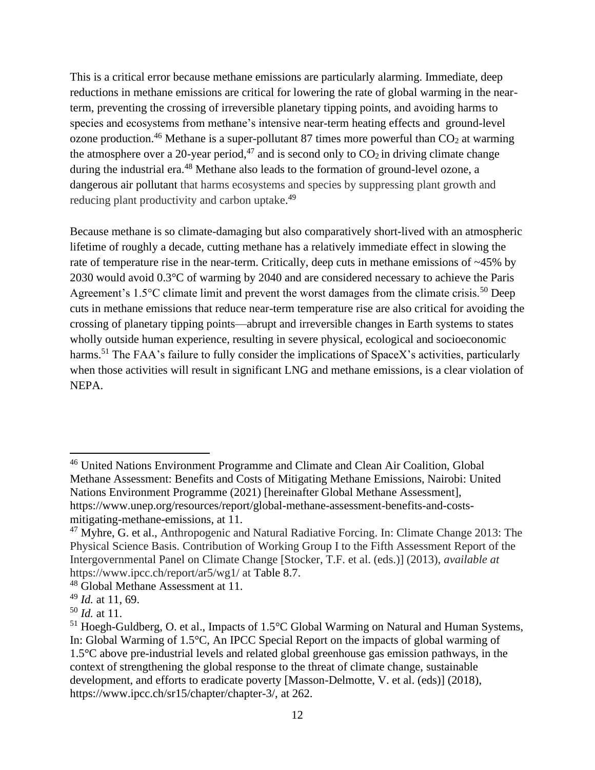This is a critical error because methane emissions are particularly alarming. Immediate, deep reductions in methane emissions are critical for lowering the rate of global warming in the nearterm, preventing the crossing of irreversible planetary tipping points, and avoiding harms to species and ecosystems from methane's intensive near-term heating effects and ground-level ozone production.<sup>46</sup> Methane is a super-pollutant 87 times more powerful than  $CO<sub>2</sub>$  at warming the atmosphere over a 20-year period,<sup>47</sup> and is second only to  $CO<sub>2</sub>$  in driving climate change during the industrial era.<sup>48</sup> Methane also leads to the formation of ground-level ozone, a dangerous air pollutant that harms ecosystems and species by suppressing plant growth and reducing plant productivity and carbon uptake.<sup>49</sup>

Because methane is so climate-damaging but also comparatively short-lived with an atmospheric lifetime of roughly a decade, cutting methane has a relatively immediate effect in slowing the rate of temperature rise in the near-term. Critically, deep cuts in methane emissions of ~45% by 2030 would avoid 0.3°C of warming by 2040 and are considered necessary to achieve the Paris Agreement's 1.5°C climate limit and prevent the worst damages from the climate crisis.<sup>50</sup> Deep cuts in methane emissions that reduce near-term temperature rise are also critical for avoiding the crossing of planetary tipping points—abrupt and irreversible changes in Earth systems to states wholly outside human experience, resulting in severe physical, ecological and socioeconomic harms.<sup>51</sup> The FAA's failure to fully consider the implications of SpaceX's activities, particularly when those activities will result in significant LNG and methane emissions, is a clear violation of NEPA.

<sup>46</sup> United Nations Environment Programme and Climate and Clean Air Coalition, Global Methane Assessment: Benefits and Costs of Mitigating Methane Emissions, Nairobi: United Nations Environment Programme (2021) [hereinafter Global Methane Assessment], https://www.unep.org/resources/report/global-methane-assessment-benefits-and-costsmitigating-methane-emissions, at 11.

 $47$  Myhre, G. et al., Anthropogenic and Natural Radiative Forcing. In: Climate Change 2013: The Physical Science Basis. Contribution of Working Group I to the Fifth Assessment Report of the Intergovernmental Panel on Climate Change [Stocker, T.F. et al. (eds.)] (2013), *available at* https://www.ipcc.ch/report/ar5/wg1/ at Table 8.7.

<sup>48</sup> Global Methane Assessment at 11.

<sup>49</sup> *Id.* at 11, 69.

<sup>50</sup> *Id.* at 11.

<sup>&</sup>lt;sup>51</sup> Hoegh-Guldberg, O. et al., Impacts of 1.5°C Global Warming on Natural and Human Systems, In: Global Warming of 1.5°C, An IPCC Special Report on the impacts of global warming of 1.5°C above pre-industrial levels and related global greenhouse gas emission pathways, in the context of strengthening the global response to the threat of climate change, sustainable development, and efforts to eradicate poverty [Masson-Delmotte, V. et al. (eds)] (2018), https://www.ipcc.ch/sr15/chapter/chapter-3/, at 262.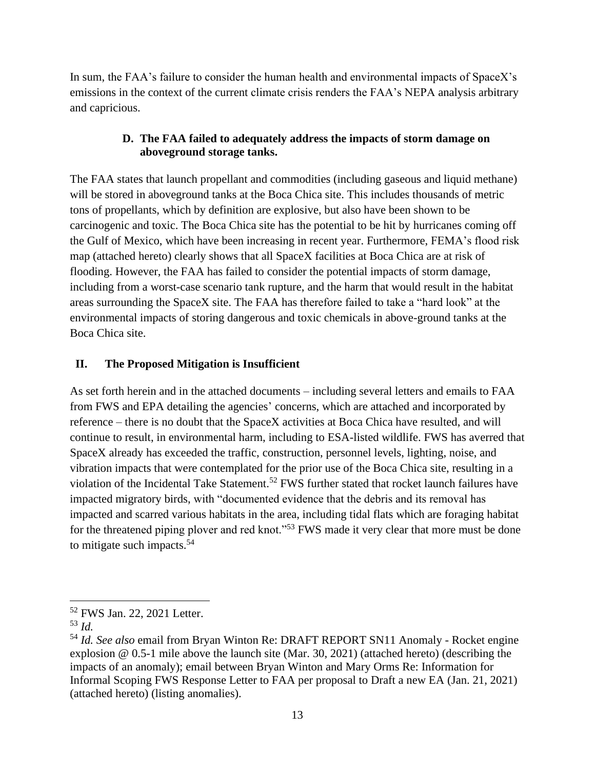In sum, the FAA's failure to consider the human health and environmental impacts of SpaceX's emissions in the context of the current climate crisis renders the FAA's NEPA analysis arbitrary and capricious.

## **D. The FAA failed to adequately address the impacts of storm damage on aboveground storage tanks.**

The FAA states that launch propellant and commodities (including gaseous and liquid methane) will be stored in aboveground tanks at the Boca Chica site. This includes thousands of metric tons of propellants, which by definition are explosive, but also have been shown to be carcinogenic and toxic. The Boca Chica site has the potential to be hit by hurricanes coming off the Gulf of Mexico, which have been increasing in recent year. Furthermore, FEMA's flood risk map (attached hereto) clearly shows that all SpaceX facilities at Boca Chica are at risk of flooding. However, the FAA has failed to consider the potential impacts of storm damage, including from a worst-case scenario tank rupture, and the harm that would result in the habitat areas surrounding the SpaceX site. The FAA has therefore failed to take a "hard look" at the environmental impacts of storing dangerous and toxic chemicals in above-ground tanks at the Boca Chica site.

## **II. The Proposed Mitigation is Insufficient**

As set forth herein and in the attached documents – including several letters and emails to FAA from FWS and EPA detailing the agencies' concerns, which are attached and incorporated by reference – there is no doubt that the SpaceX activities at Boca Chica have resulted, and will continue to result, in environmental harm, including to ESA-listed wildlife. FWS has averred that SpaceX already has exceeded the traffic, construction, personnel levels, lighting, noise, and vibration impacts that were contemplated for the prior use of the Boca Chica site, resulting in a violation of the Incidental Take Statement.<sup>52</sup> FWS further stated that rocket launch failures have impacted migratory birds, with "documented evidence that the debris and its removal has impacted and scarred various habitats in the area, including tidal flats which are foraging habitat for the threatened piping plover and red knot."<sup>53</sup> FWS made it very clear that more must be done to mitigate such impacts.<sup>54</sup>

<sup>52</sup> FWS Jan. 22, 2021 Letter.

<sup>53</sup> *Id.*

<sup>54</sup> *Id. See also* email from Bryan Winton Re: DRAFT REPORT SN11 Anomaly - Rocket engine explosion @ 0.5-1 mile above the launch site (Mar. 30, 2021) (attached hereto) (describing the impacts of an anomaly); email between Bryan Winton and Mary Orms Re: Information for Informal Scoping FWS Response Letter to FAA per proposal to Draft a new EA (Jan. 21, 2021) (attached hereto) (listing anomalies).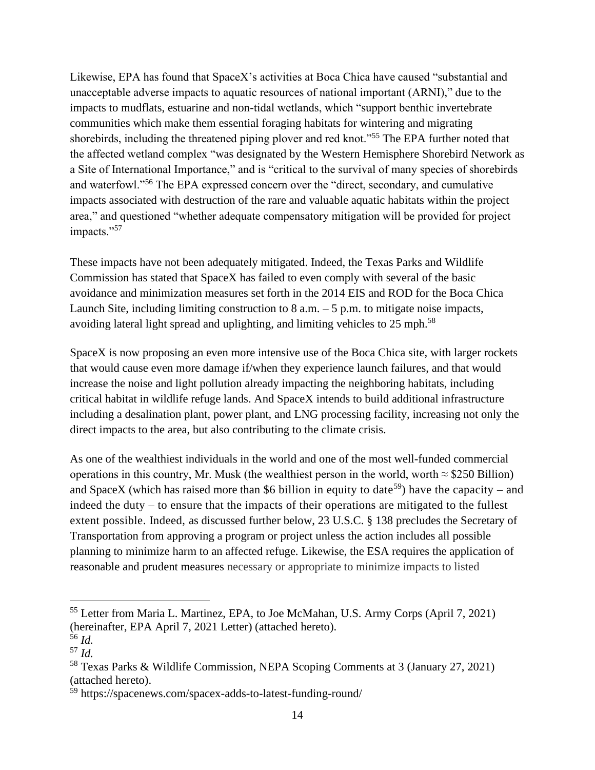Likewise, EPA has found that SpaceX's activities at Boca Chica have caused "substantial and unacceptable adverse impacts to aquatic resources of national important (ARNI)," due to the impacts to mudflats, estuarine and non-tidal wetlands, which "support benthic invertebrate communities which make them essential foraging habitats for wintering and migrating shorebirds, including the threatened piping plover and red knot."<sup>55</sup> The EPA further noted that the affected wetland complex "was designated by the Western Hemisphere Shorebird Network as a Site of International Importance," and is "critical to the survival of many species of shorebirds and waterfowl."<sup>56</sup> The EPA expressed concern over the "direct, secondary, and cumulative impacts associated with destruction of the rare and valuable aquatic habitats within the project area," and questioned "whether adequate compensatory mitigation will be provided for project impacts."57

These impacts have not been adequately mitigated. Indeed, the Texas Parks and Wildlife Commission has stated that SpaceX has failed to even comply with several of the basic avoidance and minimization measures set forth in the 2014 EIS and ROD for the Boca Chica Launch Site, including limiting construction to  $8$  a.m.  $-5$  p.m. to mitigate noise impacts, avoiding lateral light spread and uplighting, and limiting vehicles to 25 mph.<sup>58</sup>

SpaceX is now proposing an even more intensive use of the Boca Chica site, with larger rockets that would cause even more damage if/when they experience launch failures, and that would increase the noise and light pollution already impacting the neighboring habitats, including critical habitat in wildlife refuge lands. And SpaceX intends to build additional infrastructure including a desalination plant, power plant, and LNG processing facility, increasing not only the direct impacts to the area, but also contributing to the climate crisis.

As one of the wealthiest individuals in the world and one of the most well-funded commercial operations in this country, Mr. Musk (the wealthiest person in the world, worth  $\approx$  \$250 Billion) and SpaceX (which has raised more than \$6 billion in equity to date<sup>59</sup>) have the capacity – and indeed the duty – to ensure that the impacts of their operations are mitigated to the fullest extent possible. Indeed, as discussed further below, 23 U.S.C. § 138 precludes the Secretary of Transportation from approving a program or project unless the action includes all possible planning to minimize harm to an affected refuge. Likewise, the ESA requires the application of reasonable and prudent measures necessary or appropriate to minimize impacts to listed

<sup>55</sup> Letter from Maria L. Martinez, EPA, to Joe McMahan, U.S. Army Corps (April 7, 2021) (hereinafter, EPA April 7, 2021 Letter) (attached hereto).

<sup>56</sup> *Id.*

<sup>57</sup> *Id.*

<sup>58</sup> Texas Parks & Wildlife Commission, NEPA Scoping Comments at 3 (January 27, 2021) (attached hereto).

<sup>59</sup> https://spacenews.com/spacex-adds-to-latest-funding-round/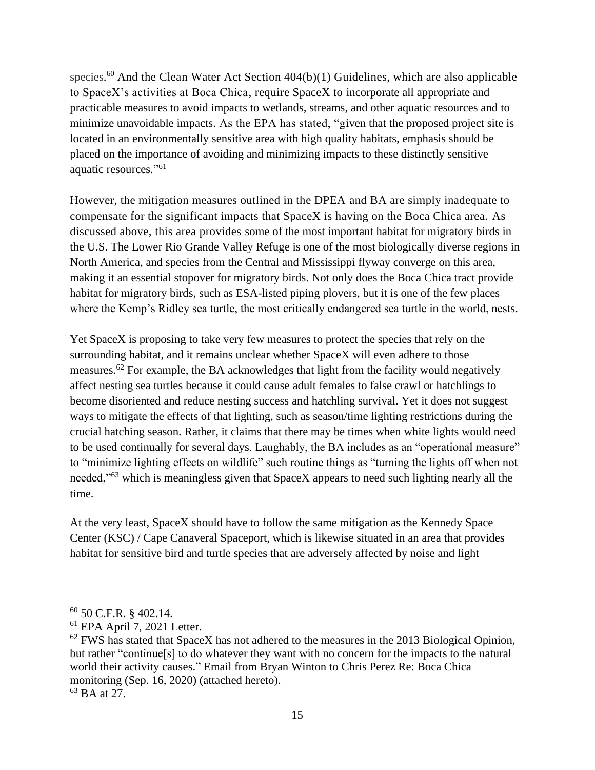species.<sup>60</sup> And the Clean Water Act Section 404(b)(1) Guidelines, which are also applicable to SpaceX's activities at Boca Chica, require SpaceX to incorporate all appropriate and practicable measures to avoid impacts to wetlands, streams, and other aquatic resources and to minimize unavoidable impacts. As the EPA has stated, "given that the proposed project site is located in an environmentally sensitive area with high quality habitats, emphasis should be placed on the importance of avoiding and minimizing impacts to these distinctly sensitive aquatic resources." 61

However, the mitigation measures outlined in the DPEA and BA are simply inadequate to compensate for the significant impacts that SpaceX is having on the Boca Chica area. As discussed above, this area provides some of the most important habitat for migratory birds in the U.S. The Lower Rio Grande Valley Refuge is one of the most biologically diverse regions in North America, and species from the Central and Mississippi flyway converge on this area, making it an essential stopover for migratory birds. Not only does the Boca Chica tract provide habitat for migratory birds, such as ESA-listed piping plovers, but it is one of the few places where the Kemp's Ridley sea turtle, the most critically endangered sea turtle in the world, nests.

Yet SpaceX is proposing to take very few measures to protect the species that rely on the surrounding habitat, and it remains unclear whether SpaceX will even adhere to those measures.<sup>62</sup> For example, the BA acknowledges that light from the facility would negatively affect nesting sea turtles because it could cause adult females to false crawl or hatchlings to become disoriented and reduce nesting success and hatchling survival. Yet it does not suggest ways to mitigate the effects of that lighting, such as season/time lighting restrictions during the crucial hatching season. Rather, it claims that there may be times when white lights would need to be used continually for several days. Laughably, the BA includes as an "operational measure" to "minimize lighting effects on wildlife" such routine things as "turning the lights off when not needed,"<sup>63</sup> which is meaningless given that SpaceX appears to need such lighting nearly all the time.

At the very least, SpaceX should have to follow the same mitigation as the Kennedy Space Center (KSC) / Cape Canaveral Spaceport, which is likewise situated in an area that provides habitat for sensitive bird and turtle species that are adversely affected by noise and light

<sup>60</sup> 50 C.F.R. § 402.14.

<sup>61</sup> EPA April 7, 2021 Letter.

 $62$  FWS has stated that SpaceX has not adhered to the measures in the 2013 Biological Opinion, but rather "continue[s] to do whatever they want with no concern for the impacts to the natural world their activity causes." Email from Bryan Winton to Chris Perez Re: Boca Chica monitoring (Sep. 16, 2020) (attached hereto).

<sup>63</sup> BA at 27.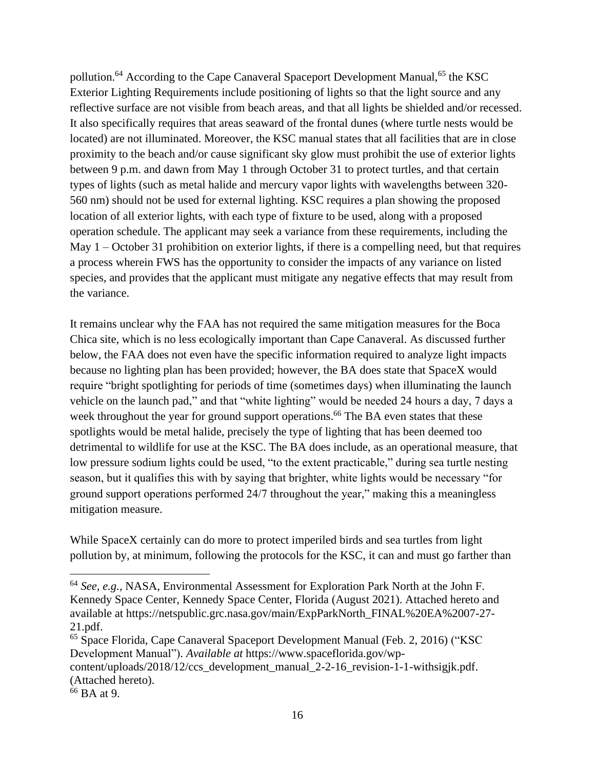pollution.<sup>64</sup> According to the Cape Canaveral Spaceport Development Manual,<sup>65</sup> the KSC Exterior Lighting Requirements include positioning of lights so that the light source and any reflective surface are not visible from beach areas, and that all lights be shielded and/or recessed. It also specifically requires that areas seaward of the frontal dunes (where turtle nests would be located) are not illuminated. Moreover, the KSC manual states that all facilities that are in close proximity to the beach and/or cause significant sky glow must prohibit the use of exterior lights between 9 p.m. and dawn from May 1 through October 31 to protect turtles, and that certain types of lights (such as metal halide and mercury vapor lights with wavelengths between 320- 560 nm) should not be used for external lighting. KSC requires a plan showing the proposed location of all exterior lights, with each type of fixture to be used, along with a proposed operation schedule. The applicant may seek a variance from these requirements, including the May 1 – October 31 prohibition on exterior lights, if there is a compelling need, but that requires a process wherein FWS has the opportunity to consider the impacts of any variance on listed species, and provides that the applicant must mitigate any negative effects that may result from the variance.

It remains unclear why the FAA has not required the same mitigation measures for the Boca Chica site, which is no less ecologically important than Cape Canaveral. As discussed further below, the FAA does not even have the specific information required to analyze light impacts because no lighting plan has been provided; however, the BA does state that SpaceX would require "bright spotlighting for periods of time (sometimes days) when illuminating the launch vehicle on the launch pad," and that "white lighting" would be needed 24 hours a day, 7 days a week throughout the year for ground support operations.<sup>66</sup> The BA even states that these spotlights would be metal halide, precisely the type of lighting that has been deemed too detrimental to wildlife for use at the KSC. The BA does include, as an operational measure, that low pressure sodium lights could be used, "to the extent practicable," during sea turtle nesting season, but it qualifies this with by saying that brighter, white lights would be necessary "for ground support operations performed 24/7 throughout the year," making this a meaningless mitigation measure.

While SpaceX certainly can do more to protect imperiled birds and sea turtles from light pollution by, at minimum, following the protocols for the KSC, it can and must go farther than

<sup>64</sup> *See, e.g.,* NASA, Environmental Assessment for Exploration Park North at the John F. Kennedy Space Center, Kennedy Space Center, Florida (August 2021). Attached hereto and available at https://netspublic.grc.nasa.gov/main/ExpParkNorth\_FINAL%20EA%2007-27- 21.pdf.

<sup>65</sup> Space Florida, Cape Canaveral Spaceport Development Manual (Feb. 2, 2016) ("KSC Development Manual"). *Available at* https://www.spaceflorida.gov/wpcontent/uploads/2018/12/ccs\_development\_manual\_2-2-16\_revision-1-1-withsigjk.pdf.

<sup>(</sup>Attached hereto).

<sup>66</sup> BA at 9.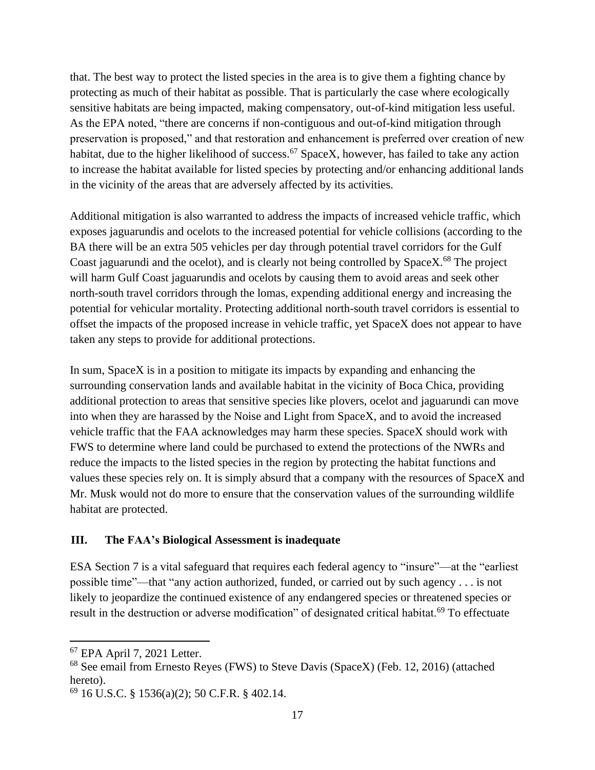that. The best way to protect the listed species in the area is to give them a fighting chance by protecting as much of their habitat as possible. That is particularly the case where ecologically sensitive habitats are being impacted, making compensatory, out-of-kind mitigation less useful. As the EPA noted, "there are concerns if non-contiguous and out-of-kind mitigation through preservation is proposed," and that restoration and enhancement is preferred over creation of new habitat, due to the higher likelihood of success.<sup>67</sup> SpaceX, however, has failed to take any action to increase the habitat available for listed species by protecting and/or enhancing additional lands in the vicinity of the areas that are adversely affected by its activities.

Additional mitigation is also warranted to address the impacts of increased vehicle traffic, which exposes jaguarundis and ocelots to the increased potential for vehicle collisions (according to the BA there will be an extra 505 vehicles per day through potential travel corridors for the Gulf Coast jaguarundi and the ocelot), and is clearly not being controlled by SpaceX.<sup>68</sup> The project will harm Gulf Coast jaguarundis and ocelots by causing them to avoid areas and seek other north-south travel corridors through the lomas, expending additional energy and increasing the potential for vehicular mortality. Protecting additional north-south travel corridors is essential to offset the impacts of the proposed increase in vehicle traffic, yet SpaceX does not appear to have taken any steps to provide for additional protections.

In sum, SpaceX is in a position to mitigate its impacts by expanding and enhancing the surrounding conservation lands and available habitat in the vicinity of Boca Chica, providing additional protection to areas that sensitive species like plovers, ocelot and jaguarundi can move into when they are harassed by the Noise and Light from SpaceX, and to avoid the increased vehicle traffic that the FAA acknowledges may harm these species. SpaceX should work with FWS to determine where land could be purchased to extend the protections of the NWRs and reduce the impacts to the listed species in the region by protecting the habitat functions and values these species rely on. It is simply absurd that a company with the resources of SpaceX and Mr. Musk would not do more to ensure that the conservation values of the surrounding wildlife habitat are protected.

### **III. The FAA's Biological Assessment is inadequate**

ESA Section 7 is a vital safeguard that requires each federal agency to "insure"—at the "earliest possible time"—that "any action authorized, funded, or carried out by such agency . . . is not likely to jeopardize the continued existence of any endangered species or threatened species or result in the destruction or adverse modification" of designated critical habitat.<sup>69</sup> To effectuate

<sup>67</sup> EPA April 7, 2021 Letter.

<sup>68</sup> See email from Ernesto Reyes (FWS) to Steve Davis (SpaceX) (Feb. 12, 2016) (attached hereto).

 $^{69}$  16 U.S.C. § 1536(a)(2); 50 C.F.R. § 402.14.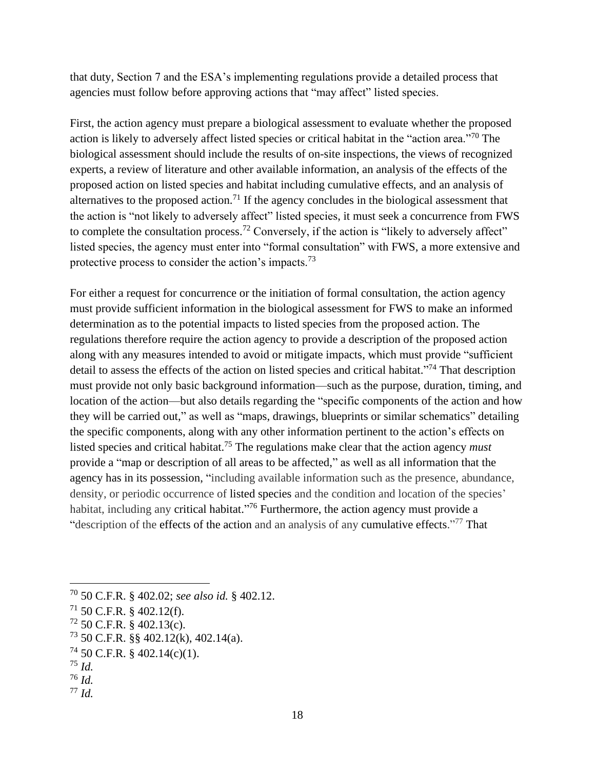that duty, Section 7 and the ESA's implementing regulations provide a detailed process that agencies must follow before approving actions that "may affect" listed species.

First, the action agency must prepare a biological assessment to evaluate whether the proposed action is likely to adversely affect listed species or critical habitat in the "action area."<sup>70</sup> The biological assessment should include the results of on-site inspections, the views of recognized experts, a review of literature and other available information, an analysis of the effects of the proposed action on listed species and habitat including cumulative effects, and an analysis of alternatives to the proposed action.<sup>71</sup> If the agency concludes in the biological assessment that the action is "not likely to adversely affect" listed species, it must seek a concurrence from FWS to complete the consultation process.<sup>72</sup> Conversely, if the action is "likely to adversely affect" listed species, the agency must enter into "formal consultation" with FWS, a more extensive and protective process to consider the action's impacts.<sup>73</sup>

For either a request for concurrence or the initiation of formal consultation, the action agency must provide sufficient information in the biological assessment for FWS to make an informed determination as to the potential impacts to listed species from the proposed action. The regulations therefore require the action agency to provide a description of the proposed action along with any measures intended to avoid or mitigate impacts, which must provide "sufficient detail to assess the effects of the action on listed species and critical habitat."<sup>74</sup> That description must provide not only basic background information—such as the purpose, duration, timing, and location of the action—but also details regarding the "specific components of the action and how they will be carried out," as well as "maps, drawings, blueprints or similar schematics" detailing the specific components, along with any other information pertinent to the action's effects on listed species and critical habitat. <sup>75</sup> The regulations make clear that the action agency *must* provide a "map or description of all areas to be affected," as well as all information that the agency has in its possession, "including available information such as the presence, abundance, density, or periodic occurrence of listed species and the condition and location of the species' habitat, including any critical habitat."<sup>76</sup> Furthermore, the action agency must provide a "description of the effects of the action and an analysis of any cumulative effects."<sup>77</sup> That

<sup>70</sup> 50 C.F.R. § 402.02; *see also id.* § 402.12.

 $71$  50 C.F.R. § 402.12(f).

 $72$  50 C.F.R. § 402.13(c).

 $^{73}$  50 C.F.R. §§ 402.12(k), 402.14(a).

 $74$  50 C.F.R. § 402.14(c)(1).

<sup>75</sup> *Id.*

<sup>76</sup> *Id.*

<sup>77</sup> *Id.*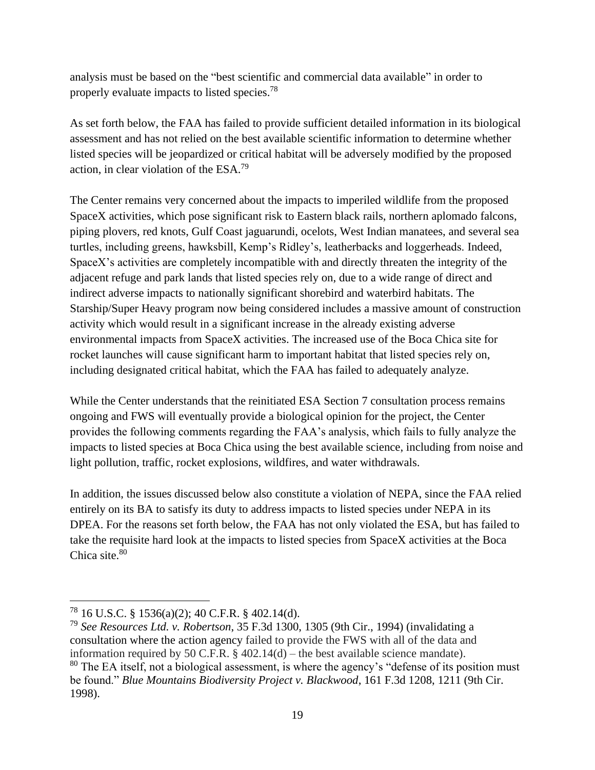analysis must be based on the "best scientific and commercial data available" in order to properly evaluate impacts to listed species.<sup>78</sup>

As set forth below, the FAA has failed to provide sufficient detailed information in its biological assessment and has not relied on the best available scientific information to determine whether listed species will be jeopardized or critical habitat will be adversely modified by the proposed action, in clear violation of the ESA.<sup>79</sup>

The Center remains very concerned about the impacts to imperiled wildlife from the proposed SpaceX activities, which pose significant risk to Eastern black rails, northern aplomado falcons, piping plovers, red knots, Gulf Coast jaguarundi, ocelots, West Indian manatees, and several sea turtles, including greens, hawksbill, Kemp's Ridley's, leatherbacks and loggerheads. Indeed, SpaceX's activities are completely incompatible with and directly threaten the integrity of the adjacent refuge and park lands that listed species rely on, due to a wide range of direct and indirect adverse impacts to nationally significant shorebird and waterbird habitats. The Starship/Super Heavy program now being considered includes a massive amount of construction activity which would result in a significant increase in the already existing adverse environmental impacts from SpaceX activities. The increased use of the Boca Chica site for rocket launches will cause significant harm to important habitat that listed species rely on, including designated critical habitat, which the FAA has failed to adequately analyze.

While the Center understands that the reinitiated ESA Section 7 consultation process remains ongoing and FWS will eventually provide a biological opinion for the project, the Center provides the following comments regarding the FAA's analysis, which fails to fully analyze the impacts to listed species at Boca Chica using the best available science, including from noise and light pollution, traffic, rocket explosions, wildfires, and water withdrawals.

In addition, the issues discussed below also constitute a violation of NEPA, since the FAA relied entirely on its BA to satisfy its duty to address impacts to listed species under NEPA in its DPEA. For the reasons set forth below, the FAA has not only violated the ESA, but has failed to take the requisite hard look at the impacts to listed species from SpaceX activities at the Boca Chica site. 80

<sup>78</sup> 16 U.S.C. § 1536(a)(2); 40 C.F.R. § 402.14(d).

<sup>79</sup> *See Resources Ltd. v. Robertson*, 35 F.3d 1300, 1305 (9th Cir., 1994) (invalidating a consultation where the action agency failed to provide the FWS with all of the data and information required by 50 C.F.R. § 402.14(d) – the best available science mandate).  $80$  The EA itself, not a biological assessment, is where the agency's "defense of its position must" be found." *Blue Mountains Biodiversity Project v. Blackwood*, 161 F.3d 1208, 1211 (9th Cir. 1998).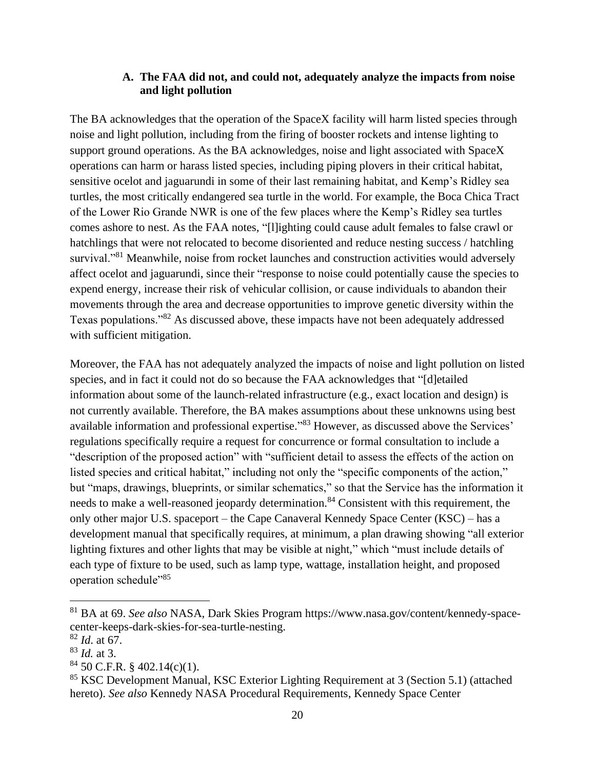### **A. The FAA did not, and could not, adequately analyze the impacts from noise and light pollution**

The BA acknowledges that the operation of the SpaceX facility will harm listed species through noise and light pollution, including from the firing of booster rockets and intense lighting to support ground operations. As the BA acknowledges, noise and light associated with SpaceX operations can harm or harass listed species, including piping plovers in their critical habitat, sensitive ocelot and jaguarundi in some of their last remaining habitat, and Kemp's Ridley sea turtles, the most critically endangered sea turtle in the world. For example, the Boca Chica Tract of the Lower Rio Grande NWR is one of the few places where the Kemp's Ridley sea turtles comes ashore to nest. As the FAA notes, "[l]ighting could cause adult females to false crawl or hatchlings that were not relocated to become disoriented and reduce nesting success / hatchling survival."<sup>81</sup> Meanwhile, noise from rocket launches and construction activities would adversely affect ocelot and jaguarundi, since their "response to noise could potentially cause the species to expend energy, increase their risk of vehicular collision, or cause individuals to abandon their movements through the area and decrease opportunities to improve genetic diversity within the Texas populations."<sup>82</sup> As discussed above, these impacts have not been adequately addressed with sufficient mitigation.

Moreover, the FAA has not adequately analyzed the impacts of noise and light pollution on listed species, and in fact it could not do so because the FAA acknowledges that "[d]etailed information about some of the launch-related infrastructure (e.g., exact location and design) is not currently available. Therefore, the BA makes assumptions about these unknowns using best available information and professional expertise."<sup>83</sup> However, as discussed above the Services' regulations specifically require a request for concurrence or formal consultation to include a "description of the proposed action" with "sufficient detail to assess the effects of the action on listed species and critical habitat," including not only the "specific components of the action," but "maps, drawings, blueprints, or similar schematics," so that the Service has the information it needs to make a well-reasoned jeopardy determination.<sup>84</sup> Consistent with this requirement, the only other major U.S. spaceport – the Cape Canaveral Kennedy Space Center (KSC) – has a development manual that specifically requires, at minimum, a plan drawing showing "all exterior lighting fixtures and other lights that may be visible at night," which "must include details of each type of fixture to be used, such as lamp type, wattage, installation height, and proposed operation schedule"<sup>85</sup>

<sup>81</sup> BA at 69. *See also* NASA, Dark Skies Program https://www.nasa.gov/content/kennedy-spacecenter-keeps-dark-skies-for-sea-turtle-nesting.

<sup>82</sup> *Id*. at 67.

<sup>83</sup> *Id.* at 3.

 $84$  50 C.F.R. § 402.14(c)(1).

<sup>85</sup> KSC Development Manual, KSC Exterior Lighting Requirement at 3 (Section 5.1) (attached hereto). *See also* Kennedy NASA Procedural Requirements, Kennedy Space Center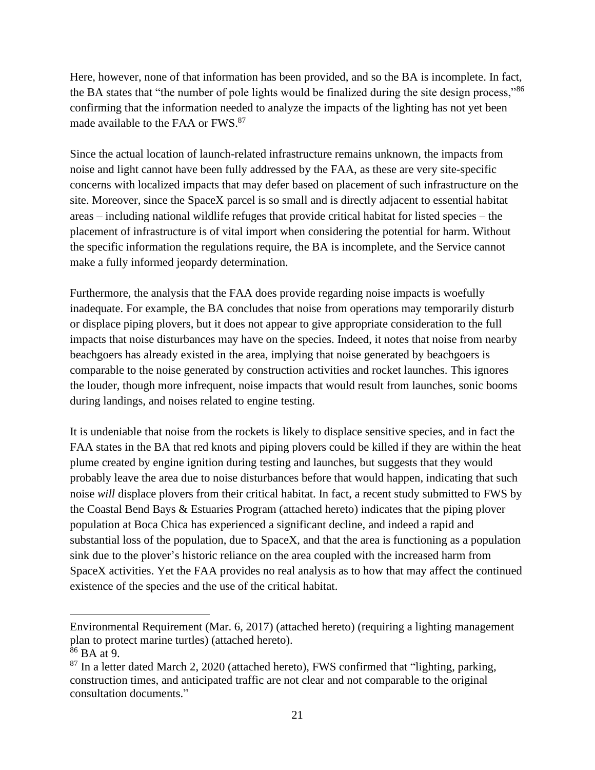Here, however, none of that information has been provided, and so the BA is incomplete. In fact, the BA states that "the number of pole lights would be finalized during the site design process,"<sup>86</sup> confirming that the information needed to analyze the impacts of the lighting has not yet been made available to the FAA or FWS.<sup>87</sup>

Since the actual location of launch-related infrastructure remains unknown, the impacts from noise and light cannot have been fully addressed by the FAA, as these are very site-specific concerns with localized impacts that may defer based on placement of such infrastructure on the site. Moreover, since the SpaceX parcel is so small and is directly adjacent to essential habitat areas – including national wildlife refuges that provide critical habitat for listed species – the placement of infrastructure is of vital import when considering the potential for harm. Without the specific information the regulations require, the BA is incomplete, and the Service cannot make a fully informed jeopardy determination.

Furthermore, the analysis that the FAA does provide regarding noise impacts is woefully inadequate. For example, the BA concludes that noise from operations may temporarily disturb or displace piping plovers, but it does not appear to give appropriate consideration to the full impacts that noise disturbances may have on the species. Indeed, it notes that noise from nearby beachgoers has already existed in the area, implying that noise generated by beachgoers is comparable to the noise generated by construction activities and rocket launches. This ignores the louder, though more infrequent, noise impacts that would result from launches, sonic booms during landings, and noises related to engine testing.

It is undeniable that noise from the rockets is likely to displace sensitive species, and in fact the FAA states in the BA that red knots and piping plovers could be killed if they are within the heat plume created by engine ignition during testing and launches, but suggests that they would probably leave the area due to noise disturbances before that would happen, indicating that such noise *will* displace plovers from their critical habitat. In fact, a recent study submitted to FWS by the Coastal Bend Bays & Estuaries Program (attached hereto) indicates that the piping plover population at Boca Chica has experienced a significant decline, and indeed a rapid and substantial loss of the population, due to SpaceX, and that the area is functioning as a population sink due to the plover's historic reliance on the area coupled with the increased harm from SpaceX activities. Yet the FAA provides no real analysis as to how that may affect the continued existence of the species and the use of the critical habitat.

Environmental Requirement (Mar. 6, 2017) (attached hereto) (requiring a lighting management plan to protect marine turtles) (attached hereto).

 $^{186}$  BA at 9.

 $87$  In a letter dated March 2, 2020 (attached hereto), FWS confirmed that "lighting, parking, construction times, and anticipated traffic are not clear and not comparable to the original consultation documents."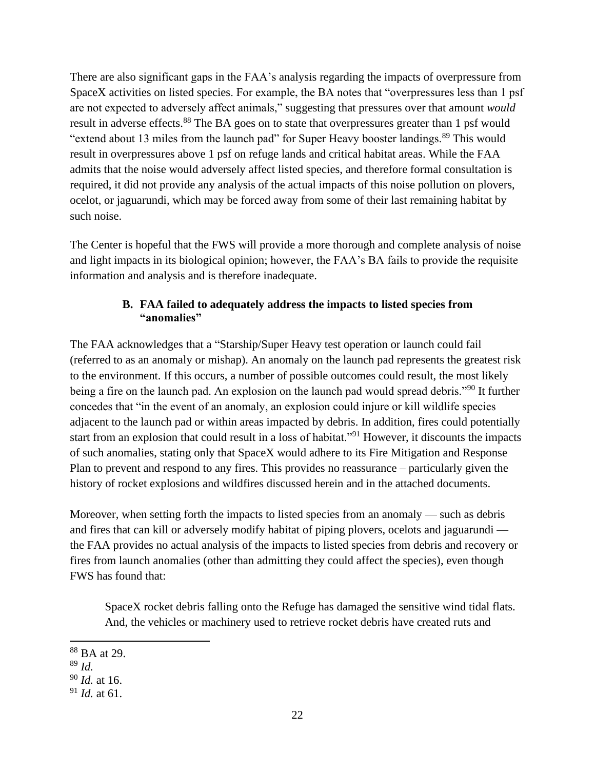There are also significant gaps in the FAA's analysis regarding the impacts of overpressure from SpaceX activities on listed species. For example, the BA notes that "overpressures less than 1 psf are not expected to adversely affect animals," suggesting that pressures over that amount *would* result in adverse effects.<sup>88</sup> The BA goes on to state that overpressures greater than 1 psf would "extend about 13 miles from the launch pad" for Super Heavy booster landings.<sup>89</sup> This would result in overpressures above 1 psf on refuge lands and critical habitat areas. While the FAA admits that the noise would adversely affect listed species, and therefore formal consultation is required, it did not provide any analysis of the actual impacts of this noise pollution on plovers, ocelot, or jaguarundi, which may be forced away from some of their last remaining habitat by such noise.

The Center is hopeful that the FWS will provide a more thorough and complete analysis of noise and light impacts in its biological opinion; however, the FAA's BA fails to provide the requisite information and analysis and is therefore inadequate.

## **B. FAA failed to adequately address the impacts to listed species from "anomalies"**

The FAA acknowledges that a "Starship/Super Heavy test operation or launch could fail (referred to as an anomaly or mishap). An anomaly on the launch pad represents the greatest risk to the environment. If this occurs, a number of possible outcomes could result, the most likely being a fire on the launch pad. An explosion on the launch pad would spread debris."<sup>90</sup> It further concedes that "in the event of an anomaly, an explosion could injure or kill wildlife species adjacent to the launch pad or within areas impacted by debris. In addition, fires could potentially start from an explosion that could result in a loss of habitat."<sup>91</sup> However, it discounts the impacts of such anomalies, stating only that SpaceX would adhere to its Fire Mitigation and Response Plan to prevent and respond to any fires. This provides no reassurance – particularly given the history of rocket explosions and wildfires discussed herein and in the attached documents.

Moreover, when setting forth the impacts to listed species from an anomaly — such as debris and fires that can kill or adversely modify habitat of piping plovers, ocelots and jaguarundi the FAA provides no actual analysis of the impacts to listed species from debris and recovery or fires from launch anomalies (other than admitting they could affect the species), even though FWS has found that:

SpaceX rocket debris falling onto the Refuge has damaged the sensitive wind tidal flats. And, the vehicles or machinery used to retrieve rocket debris have created ruts and

<sup>88</sup> BA at 29.

<sup>89</sup> *Id.*

<sup>90</sup> *Id.* at 16.

<sup>91</sup> *Id.* at 61.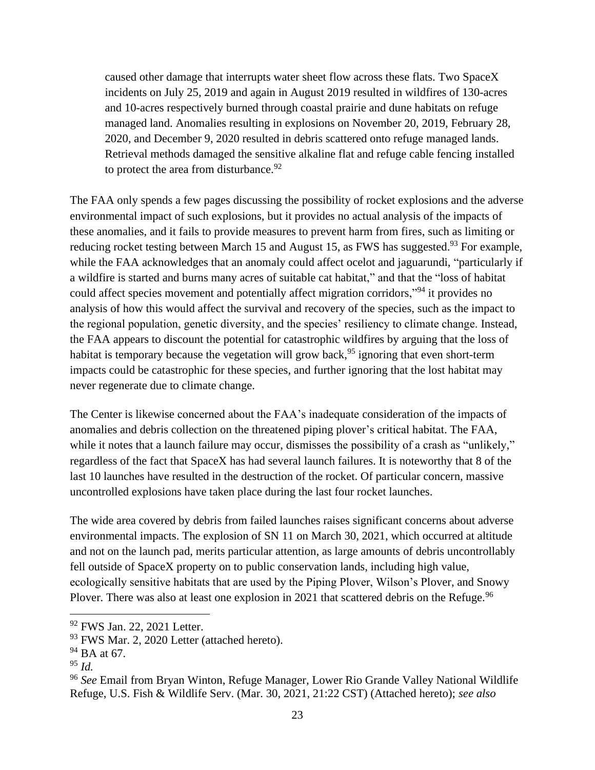caused other damage that interrupts water sheet flow across these flats. Two SpaceX incidents on July 25, 2019 and again in August 2019 resulted in wildfires of 130-acres and 10-acres respectively burned through coastal prairie and dune habitats on refuge managed land. Anomalies resulting in explosions on November 20, 2019, February 28, 2020, and December 9, 2020 resulted in debris scattered onto refuge managed lands. Retrieval methods damaged the sensitive alkaline flat and refuge cable fencing installed to protect the area from disturbance. $92$ 

The FAA only spends a few pages discussing the possibility of rocket explosions and the adverse environmental impact of such explosions, but it provides no actual analysis of the impacts of these anomalies, and it fails to provide measures to prevent harm from fires, such as limiting or reducing rocket testing between March 15 and August 15, as FWS has suggested.<sup>93</sup> For example, while the FAA acknowledges that an anomaly could affect ocelot and jaguarundi, "particularly if a wildfire is started and burns many acres of suitable cat habitat," and that the "loss of habitat could affect species movement and potentially affect migration corridors,"<sup>94</sup> it provides no analysis of how this would affect the survival and recovery of the species, such as the impact to the regional population, genetic diversity, and the species' resiliency to climate change. Instead, the FAA appears to discount the potential for catastrophic wildfires by arguing that the loss of habitat is temporary because the vegetation will grow back, <sup>95</sup> ignoring that even short-term impacts could be catastrophic for these species, and further ignoring that the lost habitat may never regenerate due to climate change.

The Center is likewise concerned about the FAA's inadequate consideration of the impacts of anomalies and debris collection on the threatened piping plover's critical habitat. The FAA, while it notes that a launch failure may occur, dismisses the possibility of a crash as "unlikely," regardless of the fact that SpaceX has had several launch failures. It is noteworthy that 8 of the last 10 launches have resulted in the destruction of the rocket. Of particular concern, massive uncontrolled explosions have taken place during the last four rocket launches.

The wide area covered by debris from failed launches raises significant concerns about adverse environmental impacts. The explosion of SN 11 on March 30, 2021, which occurred at altitude and not on the launch pad, merits particular attention, as large amounts of debris uncontrollably fell outside of SpaceX property on to public conservation lands, including high value, ecologically sensitive habitats that are used by the Piping Plover, Wilson's Plover, and Snowy Plover. There was also at least one explosion in 2021 that scattered debris on the Refuge.<sup>96</sup>

<sup>92</sup> FWS Jan. 22, 2021 Letter.

<sup>&</sup>lt;sup>93</sup> FWS Mar. 2, 2020 Letter (attached hereto).

<sup>&</sup>lt;sup>94</sup> BA at 67.

<sup>95</sup> *Id.*

<sup>96</sup> *See* Email from Bryan Winton, Refuge Manager, Lower Rio Grande Valley National Wildlife Refuge, U.S. Fish & Wildlife Serv. (Mar. 30, 2021, 21:22 CST) (Attached hereto); *see also*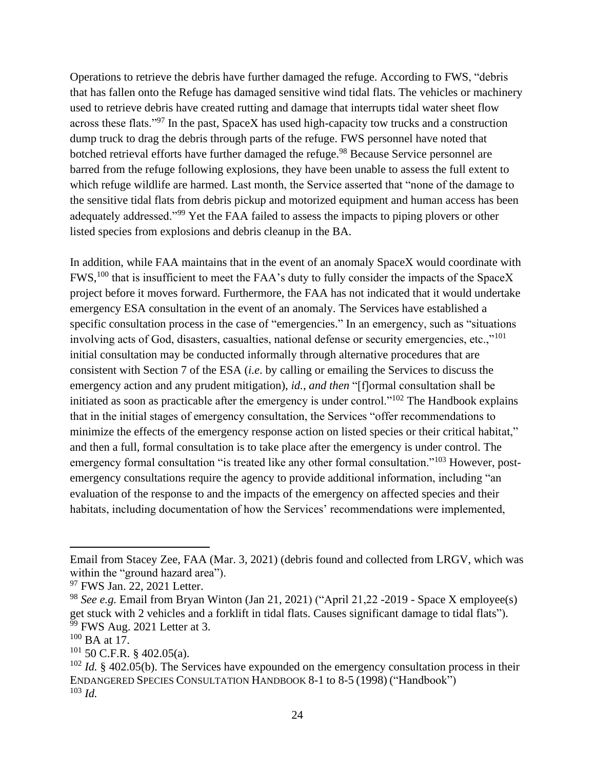Operations to retrieve the debris have further damaged the refuge. According to FWS, "debris that has fallen onto the Refuge has damaged sensitive wind tidal flats. The vehicles or machinery used to retrieve debris have created rutting and damage that interrupts tidal water sheet flow across these flats."<sup>97</sup> In the past, SpaceX has used high-capacity tow trucks and a construction dump truck to drag the debris through parts of the refuge. FWS personnel have noted that botched retrieval efforts have further damaged the refuge.<sup>98</sup> Because Service personnel are barred from the refuge following explosions, they have been unable to assess the full extent to which refuge wildlife are harmed. Last month, the Service asserted that "none of the damage to the sensitive tidal flats from debris pickup and motorized equipment and human access has been adequately addressed."<sup>99</sup> Yet the FAA failed to assess the impacts to piping plovers or other listed species from explosions and debris cleanup in the BA.

In addition, while FAA maintains that in the event of an anomaly SpaceX would coordinate with FWS,<sup>100</sup> that is insufficient to meet the FAA's duty to fully consider the impacts of the SpaceX project before it moves forward. Furthermore, the FAA has not indicated that it would undertake emergency ESA consultation in the event of an anomaly. The Services have established a specific consultation process in the case of "emergencies." In an emergency, such as "situations" involving acts of God, disasters, casualties, national defense or security emergencies, etc.,"<sup>101</sup> initial consultation may be conducted informally through alternative procedures that are consistent with Section 7 of the ESA (*i.e*. by calling or emailing the Services to discuss the emergency action and any prudent mitigation), *id.*, *and then* "[f]ormal consultation shall be initiated as soon as practicable after the emergency is under control."<sup>102</sup> The Handbook explains that in the initial stages of emergency consultation, the Services "offer recommendations to minimize the effects of the emergency response action on listed species or their critical habitat," and then a full, formal consultation is to take place after the emergency is under control. The emergency formal consultation "is treated like any other formal consultation."<sup>103</sup> However, postemergency consultations require the agency to provide additional information, including "an evaluation of the response to and the impacts of the emergency on affected species and their habitats, including documentation of how the Services' recommendations were implemented,

Email from Stacey Zee, FAA (Mar. 3, 2021) (debris found and collected from LRGV, which was within the "ground hazard area").

<sup>&</sup>lt;sup>97</sup> FWS Jan. 22, 2021 Letter.

<sup>&</sup>lt;sup>98</sup> *See e.g.* Email from Bryan Winton (Jan 21, 2021) ("April 21, 22 - 2019 - Space X employee(s) get stuck with 2 vehicles and a forklift in tidal flats. Causes significant damage to tidal flats"). <sup>99</sup> FWS Aug. 2021 Letter at 3.

 $100$  BA at 17.

 $101$  50 C.F.R. § 402.05(a).

<sup>&</sup>lt;sup>102</sup> *Id.* § 402.05(b). The Services have expounded on the emergency consultation process in their ENDANGERED SPECIES CONSULTATION HANDBOOK 8-1 to 8-5 (1998) ("Handbook") <sup>103</sup> *Id.*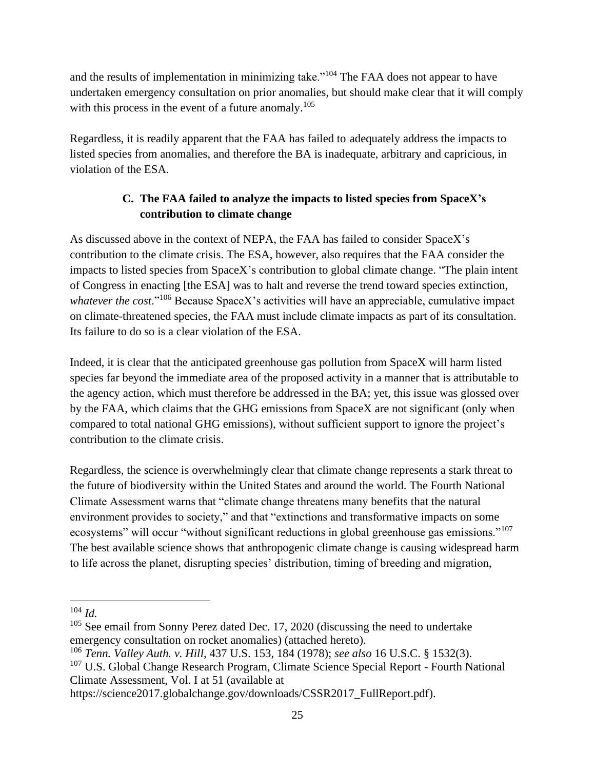and the results of implementation in minimizing take."<sup>104</sup> The FAA does not appear to have undertaken emergency consultation on prior anomalies, but should make clear that it will comply with this process in the event of a future anomaly.<sup>105</sup>

Regardless, it is readily apparent that the FAA has failed to adequately address the impacts to listed species from anomalies, and therefore the BA is inadequate, arbitrary and capricious, in violation of the ESA.

# **C. The FAA failed to analyze the impacts to listed species from SpaceX's contribution to climate change**

As discussed above in the context of NEPA, the FAA has failed to consider SpaceX's contribution to the climate crisis. The ESA, however, also requires that the FAA consider the impacts to listed species from SpaceX's contribution to global climate change. "The plain intent of Congress in enacting [the ESA] was to halt and reverse the trend toward species extinction, *whatever the cost*."<sup>106</sup> Because SpaceX's activities will have an appreciable, cumulative impact on climate-threatened species, the FAA must include climate impacts as part of its consultation. Its failure to do so is a clear violation of the ESA.

Indeed, it is clear that the anticipated greenhouse gas pollution from SpaceX will harm listed species far beyond the immediate area of the proposed activity in a manner that is attributable to the agency action, which must therefore be addressed in the BA; yet, this issue was glossed over by the FAA, which claims that the GHG emissions from SpaceX are not significant (only when compared to total national GHG emissions), without sufficient support to ignore the project's contribution to the climate crisis.

Regardless, the science is overwhelmingly clear that climate change represents a stark threat to the future of biodiversity within the United States and around the world. The Fourth National Climate Assessment warns that "climate change threatens many benefits that the natural environment provides to society," and that "extinctions and transformative impacts on some ecosystems" will occur "without significant reductions in global greenhouse gas emissions."<sup>107</sup> The best available science shows that anthropogenic climate change is causing widespread harm to life across the planet, disrupting species' distribution, timing of breeding and migration,

<sup>104</sup> *Id.*

 $105$  See email from Sonny Perez dated Dec. 17, 2020 (discussing the need to undertake emergency consultation on rocket anomalies) (attached hereto).

<sup>106</sup> *Tenn. Valley Auth. v. Hill*, 437 U.S. 153, 184 (1978); *see also* 16 U.S.C. § 1532(3).

<sup>&</sup>lt;sup>107</sup> U.S. Global Change Research Program, Climate Science Special Report - Fourth National Climate Assessment, Vol. I at 51 (available at

https://science2017.globalchange.gov/downloads/CSSR2017\_FullReport.pdf).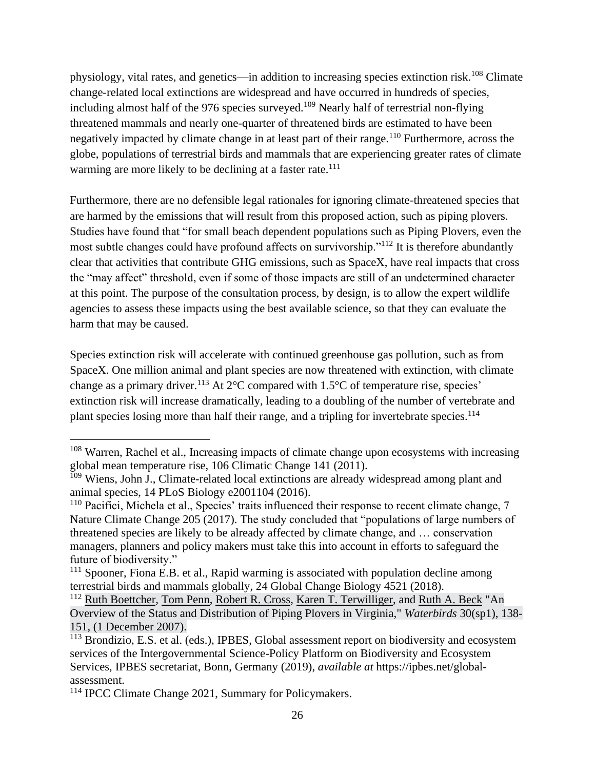physiology, vital rates, and genetics—in addition to increasing species extinction risk.<sup>108</sup> Climate change-related local extinctions are widespread and have occurred in hundreds of species, including almost half of the 976 species surveyed.<sup>109</sup> Nearly half of terrestrial non-flying threatened mammals and nearly one-quarter of threatened birds are estimated to have been negatively impacted by climate change in at least part of their range.<sup>110</sup> Furthermore, across the globe, populations of terrestrial birds and mammals that are experiencing greater rates of climate warming are more likely to be declining at a faster rate.<sup>111</sup>

Furthermore, there are no defensible legal rationales for ignoring climate-threatened species that are harmed by the emissions that will result from this proposed action, such as piping plovers. Studies have found that "for small beach dependent populations such as Piping Plovers, even the most subtle changes could have profound affects on survivorship."<sup>112</sup> It is therefore abundantly clear that activities that contribute GHG emissions, such as SpaceX, have real impacts that cross the "may affect" threshold, even if some of those impacts are still of an undetermined character at this point. The purpose of the consultation process, by design, is to allow the expert wildlife agencies to assess these impacts using the best available science, so that they can evaluate the harm that may be caused.

Species extinction risk will accelerate with continued greenhouse gas pollution, such as from SpaceX. One million animal and plant species are now threatened with extinction, with climate change as a primary driver.<sup>113</sup> At  $2^{\circ}$ C compared with 1.5 $^{\circ}$ C of temperature rise, species' extinction risk will increase dramatically, leading to a doubling of the number of vertebrate and plant species losing more than half their range, and a tripling for invertebrate species.<sup>114</sup>

<sup>&</sup>lt;sup>108</sup> Warren, Rachel et al., Increasing impacts of climate change upon ecosystems with increasing global mean temperature rise, 106 Climatic Change 141 (2011).

<sup>&</sup>lt;sup>109</sup> Wiens, John J., Climate-related local extinctions are already widespread among plant and animal species, 14 PLoS Biology e2001104 (2016).

 $110$  Pacifici, Michela et al., Species' traits influenced their response to recent climate change, 7 Nature Climate Change 205 (2017). The study concluded that "populations of large numbers of threatened species are likely to be already affected by climate change, and … conservation managers, planners and policy makers must take this into account in efforts to safeguard the future of biodiversity."

 $111$  Spooner, Fiona E.B. et al., Rapid warming is associated with population decline among terrestrial birds and mammals globally, 24 Global Change Biology 4521 (2018).

<sup>&</sup>lt;sup>112</sup> Ruth Boettcher, Tom Penn, Robert R. Cross, Karen T. Terwilliger, and Ruth A. Beck "An Overview of the Status and Distribution of Piping Plovers in Virginia," *Waterbirds* 30(sp1), 138- 151, (1 December 2007).

<sup>&</sup>lt;sup>113</sup> Brondizio, E.S. et al. (eds.), IPBES, Global assessment report on biodiversity and ecosystem services of the Intergovernmental Science-Policy Platform on Biodiversity and Ecosystem Services, IPBES secretariat, Bonn, Germany (2019), *available at* https://ipbes.net/globalassessment.

<sup>114</sup> IPCC Climate Change 2021, Summary for Policymakers.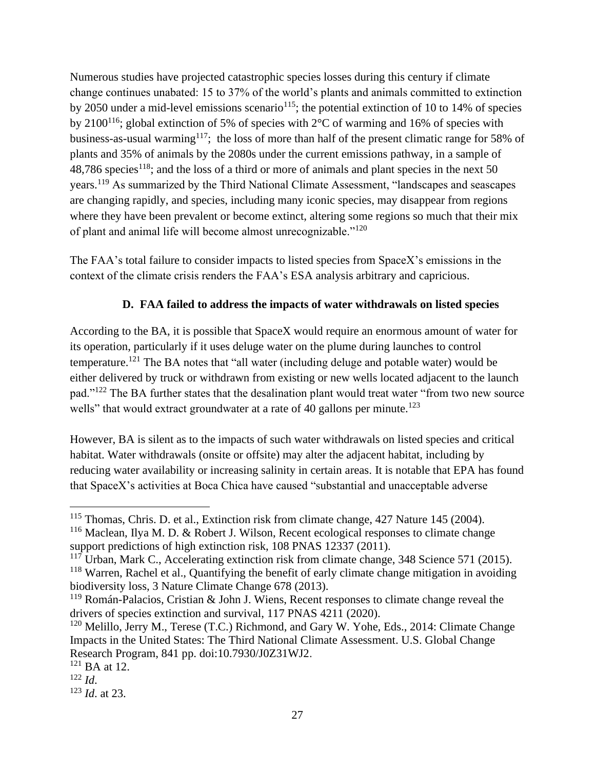Numerous studies have projected catastrophic species losses during this century if climate change continues unabated: 15 to 37% of the world's plants and animals committed to extinction by 2050 under a mid-level emissions scenario<sup>115</sup>; the potential extinction of 10 to 14% of species by 2100<sup>116</sup>; global extinction of 5% of species with 2°C of warming and 16% of species with business-as-usual warming<sup>117</sup>; the loss of more than half of the present climatic range for 58% of plants and 35% of animals by the 2080s under the current emissions pathway, in a sample of 48,786 species<sup>118</sup>; and the loss of a third or more of animals and plant species in the next 50 years.<sup>119</sup> As summarized by the Third National Climate Assessment, "landscapes and seascapes are changing rapidly, and species, including many iconic species, may disappear from regions where they have been prevalent or become extinct, altering some regions so much that their mix of plant and animal life will become almost unrecognizable."<sup>120</sup>

The FAA's total failure to consider impacts to listed species from SpaceX's emissions in the context of the climate crisis renders the FAA's ESA analysis arbitrary and capricious.

## **D. FAA failed to address the impacts of water withdrawals on listed species**

According to the BA, it is possible that SpaceX would require an enormous amount of water for its operation, particularly if it uses deluge water on the plume during launches to control temperature.<sup>121</sup> The BA notes that "all water (including deluge and potable water) would be either delivered by truck or withdrawn from existing or new wells located adjacent to the launch pad."<sup>122</sup> The BA further states that the desalination plant would treat water "from two new source wells" that would extract groundwater at a rate of 40 gallons per minute.<sup>123</sup>

However, BA is silent as to the impacts of such water withdrawals on listed species and critical habitat. Water withdrawals (onsite or offsite) may alter the adjacent habitat, including by reducing water availability or increasing salinity in certain areas. It is notable that EPA has found that SpaceX's activities at Boca Chica have caused "substantial and unacceptable adverse

<sup>&</sup>lt;sup>115</sup> Thomas, Chris. D. et al., Extinction risk from climate change, 427 Nature 145 (2004). <sup>116</sup> Maclean, Ilya M. D. & Robert J. Wilson, Recent ecological responses to climate change

support predictions of high extinction risk, 108 PNAS 12337 (2011).

<sup>&</sup>lt;sup>117</sup> Urban, Mark C., Accelerating extinction risk from climate change, 348 Science 571 (2015). <sup>118</sup> Warren, Rachel et al., Quantifying the benefit of early climate change mitigation in avoiding biodiversity loss, 3 Nature Climate Change 678 (2013).

 $119$  Román-Palacios, Cristian & John J. Wiens, Recent responses to climate change reveal the drivers of species extinction and survival, 117 PNAS 4211 (2020).

<sup>&</sup>lt;sup>120</sup> Melillo, Jerry M., Terese (T.C.) Richmond, and Gary W. Yohe, Eds., 2014: Climate Change Impacts in the United States: The Third National Climate Assessment. U.S. Global Change Research Program, 841 pp. doi:10.7930/J0Z31WJ2.

 $121$  BA at 12.

 $122$  *Id.* 

<sup>123</sup> *Id*. at 23.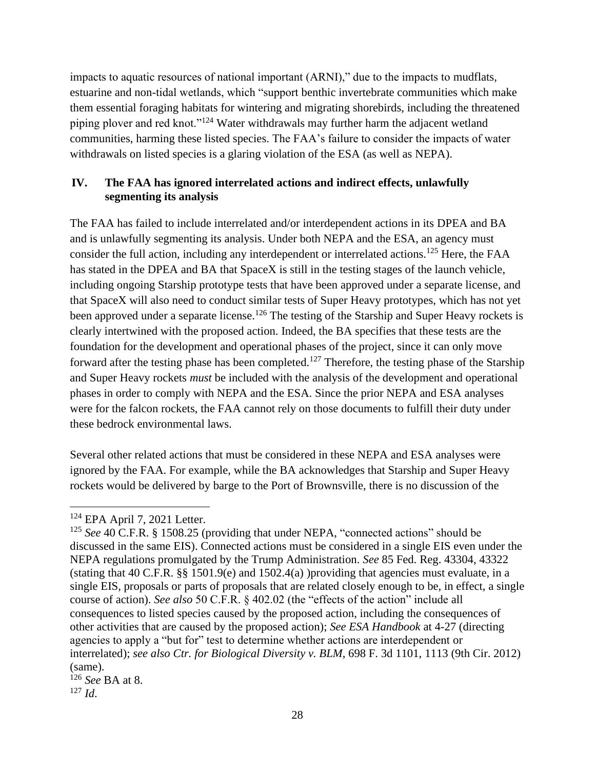impacts to aquatic resources of national important (ARNI)," due to the impacts to mudflats, estuarine and non-tidal wetlands, which "support benthic invertebrate communities which make them essential foraging habitats for wintering and migrating shorebirds, including the threatened piping plover and red knot."<sup>124</sup> Water withdrawals may further harm the adjacent wetland communities, harming these listed species. The FAA's failure to consider the impacts of water withdrawals on listed species is a glaring violation of the ESA (as well as NEPA).

## **IV. The FAA has ignored interrelated actions and indirect effects, unlawfully segmenting its analysis**

The FAA has failed to include interrelated and/or interdependent actions in its DPEA and BA and is unlawfully segmenting its analysis. Under both NEPA and the ESA, an agency must consider the full action, including any interdependent or interrelated actions.<sup>125</sup> Here, the FAA has stated in the DPEA and BA that SpaceX is still in the testing stages of the launch vehicle, including ongoing Starship prototype tests that have been approved under a separate license, and that SpaceX will also need to conduct similar tests of Super Heavy prototypes, which has not yet been approved under a separate license.<sup>126</sup> The testing of the Starship and Super Heavy rockets is clearly intertwined with the proposed action. Indeed, the BA specifies that these tests are the foundation for the development and operational phases of the project, since it can only move forward after the testing phase has been completed.<sup>127</sup> Therefore, the testing phase of the Starship and Super Heavy rockets *must* be included with the analysis of the development and operational phases in order to comply with NEPA and the ESA. Since the prior NEPA and ESA analyses were for the falcon rockets, the FAA cannot rely on those documents to fulfill their duty under these bedrock environmental laws.

Several other related actions that must be considered in these NEPA and ESA analyses were ignored by the FAA. For example, while the BA acknowledges that Starship and Super Heavy rockets would be delivered by barge to the Port of Brownsville, there is no discussion of the

<sup>126</sup> *See* BA at 8.

<sup>124</sup> EPA April 7, 2021 Letter.

<sup>125</sup> *See* 40 C.F.R. § 1508.25 (providing that under NEPA, "connected actions" should be discussed in the same EIS). Connected actions must be considered in a single EIS even under the NEPA regulations promulgated by the Trump Administration. *See* 85 Fed. Reg. 43304, 43322 (stating that 40 C.F.R. §§ 1501.9(e) and 1502.4(a) )providing that agencies must evaluate, in a single EIS, proposals or parts of proposals that are related closely enough to be, in effect, a single course of action). *See also* 50 C.F.R. § 402.02 (the "effects of the action" include all consequences to listed species caused by the proposed action, including the consequences of other activities that are caused by the proposed action); *See ESA Handbook* at 4-27 (directing agencies to apply a "but for" test to determine whether actions are interdependent or interrelated); *see also Ctr. for Biological Diversity v. BLM*, 698 F. 3d 1101, 1113 (9th Cir. 2012) (same).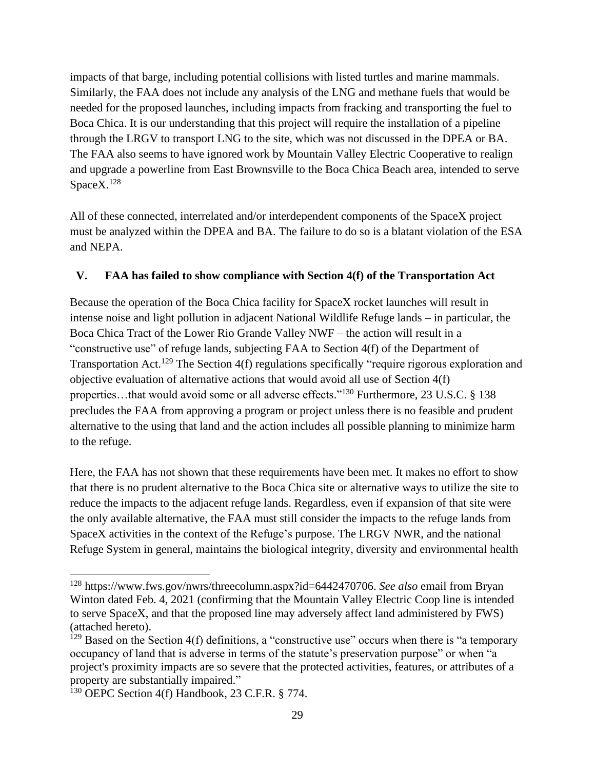impacts of that barge, including potential collisions with listed turtles and marine mammals. Similarly, the FAA does not include any analysis of the LNG and methane fuels that would be needed for the proposed launches, including impacts from fracking and transporting the fuel to Boca Chica. It is our understanding that this project will require the installation of a pipeline through the LRGV to transport LNG to the site, which was not discussed in the DPEA or BA. The FAA also seems to have ignored work by Mountain Valley Electric Cooperative to realign and upgrade a powerline from East Brownsville to the Boca Chica Beach area, intended to serve Space<sub>X.128</sub>

All of these connected, interrelated and/or interdependent components of the SpaceX project must be analyzed within the DPEA and BA. The failure to do so is a blatant violation of the ESA and NEPA.

## **V. FAA has failed to show compliance with Section 4(f) of the Transportation Act**

Because the operation of the Boca Chica facility for SpaceX rocket launches will result in intense noise and light pollution in adjacent National Wildlife Refuge lands – in particular, the Boca Chica Tract of the Lower Rio Grande Valley NWF – the action will result in a "constructive use" of refuge lands, subjecting FAA to Section 4(f) of the Department of Transportation Act.<sup>129</sup> The Section 4(f) regulations specifically "require rigorous exploration and objective evaluation of alternative actions that would avoid all use of Section 4(f) properties...that would avoid some or all adverse effects."<sup>130</sup> Furthermore, 23 U.S.C. § 138 precludes the FAA from approving a program or project unless there is no feasible and prudent alternative to the using that land and the action includes all possible planning to minimize harm to the refuge.

Here, the FAA has not shown that these requirements have been met. It makes no effort to show that there is no prudent alternative to the Boca Chica site or alternative ways to utilize the site to reduce the impacts to the adjacent refuge lands. Regardless, even if expansion of that site were the only available alternative, the FAA must still consider the impacts to the refuge lands from SpaceX activities in the context of the Refuge's purpose. The LRGV NWR, and the national Refuge System in general, maintains the biological integrity, diversity and environmental health

<sup>128</sup> https://www.fws.gov/nwrs/threecolumn.aspx?id=6442470706. *See also* email from Bryan Winton dated Feb. 4, 2021 (confirming that the Mountain Valley Electric Coop line is intended to serve SpaceX, and that the proposed line may adversely affect land administered by FWS) (attached hereto).

 $129$  Based on the Section 4(f) definitions, a "constructive use" occurs when there is "a temporary occupancy of land that is adverse in terms of the statute's preservation purpose" or when "a project's proximity impacts are so severe that the protected activities, features, or attributes of a property are substantially impaired."

<sup>&</sup>lt;sup>130</sup> OEPC Section 4(f) Handbook, 23 C.F.R. § 774.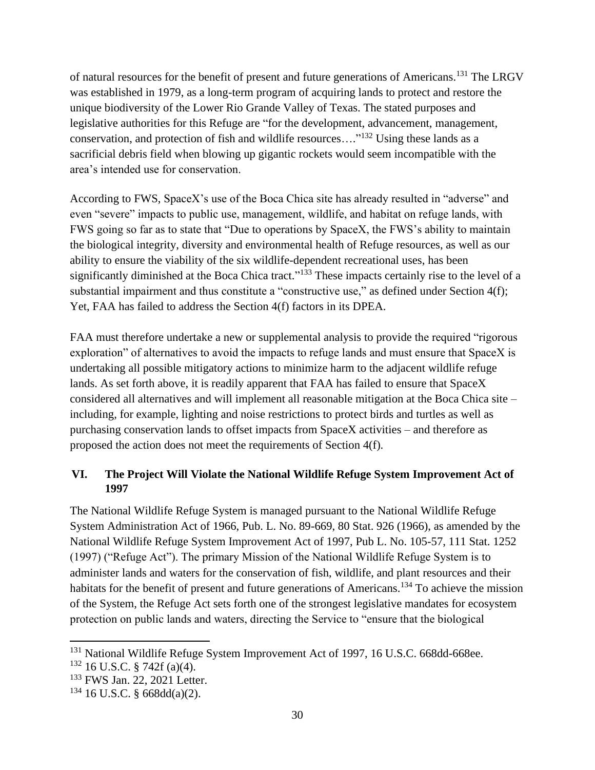of natural resources for the benefit of present and future generations of Americans.<sup>131</sup> The LRGV was established in 1979, as a long-term program of acquiring lands to protect and restore the unique biodiversity of the Lower Rio Grande Valley of Texas. The stated purposes and legislative authorities for this Refuge are "for the development, advancement, management, conservation, and protection of fish and wildlife resources...."<sup>132</sup> Using these lands as a sacrificial debris field when blowing up gigantic rockets would seem incompatible with the area's intended use for conservation.

According to FWS, SpaceX's use of the Boca Chica site has already resulted in "adverse" and even "severe" impacts to public use, management, wildlife, and habitat on refuge lands, with FWS going so far as to state that "Due to operations by SpaceX, the FWS's ability to maintain the biological integrity, diversity and environmental health of Refuge resources, as well as our ability to ensure the viability of the six wildlife-dependent recreational uses, has been significantly diminished at the Boca Chica tract."<sup>133</sup> These impacts certainly rise to the level of a substantial impairment and thus constitute a "constructive use," as defined under Section 4(f); Yet, FAA has failed to address the Section 4(f) factors in its DPEA.

FAA must therefore undertake a new or supplemental analysis to provide the required "rigorous exploration" of alternatives to avoid the impacts to refuge lands and must ensure that SpaceX is undertaking all possible mitigatory actions to minimize harm to the adjacent wildlife refuge lands. As set forth above, it is readily apparent that FAA has failed to ensure that SpaceX considered all alternatives and will implement all reasonable mitigation at the Boca Chica site – including, for example, lighting and noise restrictions to protect birds and turtles as well as purchasing conservation lands to offset impacts from SpaceX activities – and therefore as proposed the action does not meet the requirements of Section 4(f).

## **VI. The Project Will Violate the National Wildlife Refuge System Improvement Act of 1997**

The National Wildlife Refuge System is managed pursuant to the National Wildlife Refuge System Administration Act of 1966, Pub. L. No. 89-669, 80 Stat. 926 (1966), as amended by the National Wildlife Refuge System Improvement Act of 1997, Pub L. No. 105-57, 111 Stat. 1252 (1997) ("Refuge Act"). The primary Mission of the National Wildlife Refuge System is to administer lands and waters for the conservation of fish, wildlife, and plant resources and their habitats for the benefit of present and future generations of Americans.<sup>134</sup> To achieve the mission of the System, the Refuge Act sets forth one of the strongest legislative mandates for ecosystem protection on public lands and waters, directing the Service to "ensure that the biological

<sup>&</sup>lt;sup>131</sup> National Wildlife Refuge System Improvement Act of 1997, 16 U.S.C. 668dd-668ee.

 $132$  16 U.S.C. § 742f (a)(4).

<sup>133</sup> FWS Jan. 22, 2021 Letter.

<sup>134</sup> 16 U.S.C. § 668dd(a)(2).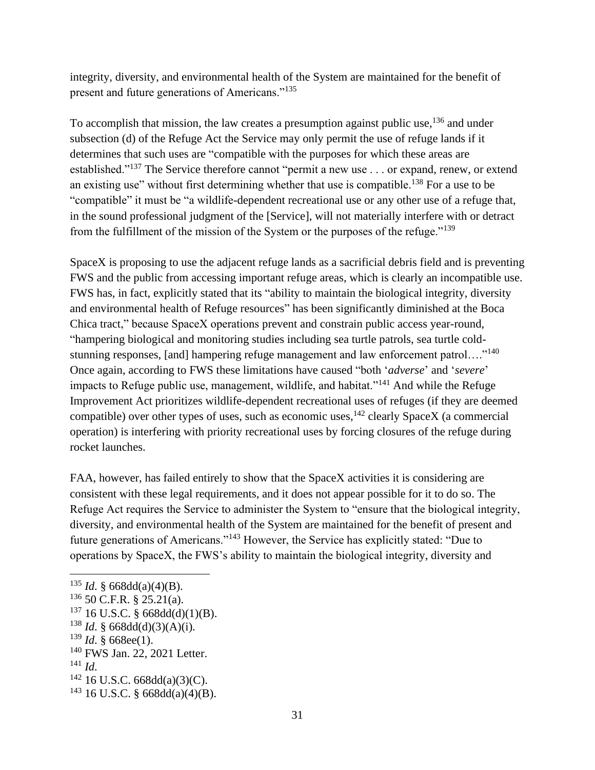integrity, diversity, and environmental health of the System are maintained for the benefit of present and future generations of Americans."<sup>135</sup>

To accomplish that mission, the law creates a presumption against public use, <sup>136</sup> and under subsection (d) of the Refuge Act the Service may only permit the use of refuge lands if it determines that such uses are "compatible with the purposes for which these areas are established."<sup>137</sup> The Service therefore cannot "permit a new use . . . or expand, renew, or extend an existing use" without first determining whether that use is compatible.<sup>138</sup> For a use to be "compatible" it must be "a wildlife-dependent recreational use or any other use of a refuge that, in the sound professional judgment of the [Service], will not materially interfere with or detract from the fulfillment of the mission of the System or the purposes of the refuge."<sup>139</sup>

SpaceX is proposing to use the adjacent refuge lands as a sacrificial debris field and is preventing FWS and the public from accessing important refuge areas, which is clearly an incompatible use. FWS has, in fact, explicitly stated that its "ability to maintain the biological integrity, diversity and environmental health of Refuge resources" has been significantly diminished at the Boca Chica tract," because SpaceX operations prevent and constrain public access year-round, "hampering biological and monitoring studies including sea turtle patrols, sea turtle coldstunning responses, [and] hampering refuge management and law enforcement patrol…."<sup>140</sup> Once again, according to FWS these limitations have caused "both '*adverse*' and '*severe*' impacts to Refuge public use, management, wildlife, and habitat."<sup>141</sup> And while the Refuge Improvement Act prioritizes wildlife-dependent recreational uses of refuges (if they are deemed compatible) over other types of uses, such as economic uses,  $^{142}$  clearly SpaceX (a commercial operation) is interfering with priority recreational uses by forcing closures of the refuge during rocket launches.

FAA, however, has failed entirely to show that the SpaceX activities it is considering are consistent with these legal requirements, and it does not appear possible for it to do so. The Refuge Act requires the Service to administer the System to "ensure that the biological integrity, diversity, and environmental health of the System are maintained for the benefit of present and future generations of Americans."<sup>143</sup> However, the Service has explicitly stated: "Due to operations by SpaceX, the FWS's ability to maintain the biological integrity, diversity and

<sup>140</sup> FWS Jan. 22, 2021 Letter.

<sup>&</sup>lt;sup>135</sup> *Id.* § 668dd(a)(4)(B).

 $136$  50 C.F.R. § 25.21(a).

 $137$  16 U.S.C. § 668dd(d)(1)(B).

<sup>&</sup>lt;sup>138</sup> *Id.* § 668dd(d)(3)(A)(i).

<sup>139</sup> *Id*. § 668ee(1).

<sup>141</sup> *Id*.

 $142$  16 U.S.C. 668dd(a)(3)(C).

 $143$  16 U.S.C. § 668dd(a)(4)(B).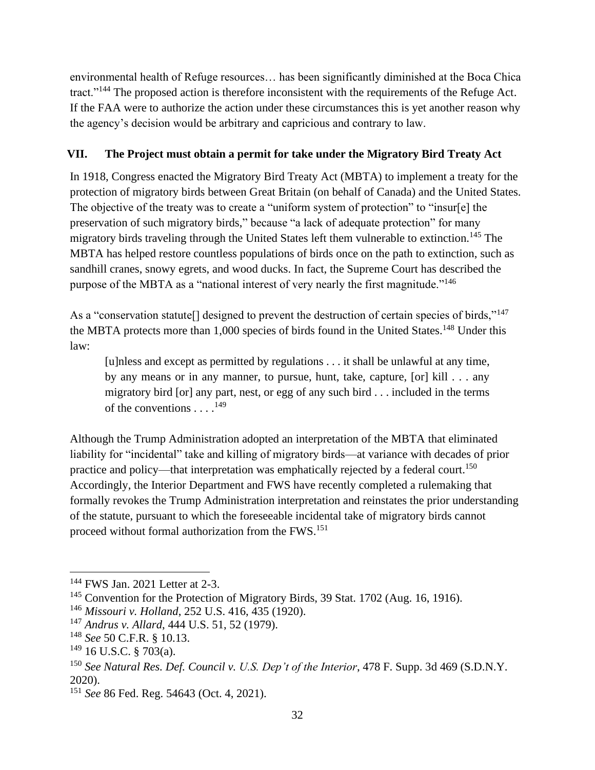environmental health of Refuge resources… has been significantly diminished at the Boca Chica tract."<sup>144</sup> The proposed action is therefore inconsistent with the requirements of the Refuge Act. If the FAA were to authorize the action under these circumstances this is yet another reason why the agency's decision would be arbitrary and capricious and contrary to law.

## **VII. The Project must obtain a permit for take under the Migratory Bird Treaty Act**

In 1918, Congress enacted the Migratory Bird Treaty Act (MBTA) to implement a treaty for the protection of migratory birds between Great Britain (on behalf of Canada) and the United States. The objective of the treaty was to create a "uniform system of protection" to "insur[e] the preservation of such migratory birds," because "a lack of adequate protection" for many migratory birds traveling through the United States left them vulnerable to extinction.<sup>145</sup> The MBTA has helped restore countless populations of birds once on the path to extinction, such as sandhill cranes, snowy egrets, and wood ducks. In fact, the Supreme Court has described the purpose of the MBTA as a "national interest of very nearly the first magnitude."<sup>146</sup>

As a "conservation statute<sup>[]</sup> designed to prevent the destruction of certain species of birds,"<sup>147</sup> the MBTA protects more than 1,000 species of birds found in the United States.<sup>148</sup> Under this law:

[u]nless and except as permitted by regulations . . . it shall be unlawful at any time, by any means or in any manner, to pursue, hunt, take, capture, [or] kill . . . any migratory bird [or] any part, nest, or egg of any such bird . . . included in the terms of the conventions . . . .<sup>149</sup>

Although the Trump Administration adopted an interpretation of the MBTA that eliminated liability for "incidental" take and killing of migratory birds—at variance with decades of prior practice and policy—that interpretation was emphatically rejected by a federal court.<sup>150</sup> Accordingly, the Interior Department and FWS have recently completed a rulemaking that formally revokes the Trump Administration interpretation and reinstates the prior understanding of the statute, pursuant to which the foreseeable incidental take of migratory birds cannot proceed without formal authorization from the FWS.<sup>151</sup>

<sup>144</sup> FWS Jan. 2021 Letter at 2-3.

<sup>&</sup>lt;sup>145</sup> Convention for the Protection of Migratory Birds, 39 Stat. 1702 (Aug. 16, 1916).

<sup>146</sup> *Missouri v. Holland*, 252 U.S. 416, 435 (1920).

<sup>147</sup> *Andrus v. Allard*, 444 U.S. 51, 52 (1979).

<sup>148</sup> *See* 50 C.F.R. § 10.13.

 $149$  16 U.S.C. § 703(a).

<sup>150</sup> *See Natural Res. Def. Council v. U.S. Dep't of the Interior*, 478 F. Supp. 3d 469 (S.D.N.Y. 2020).

<sup>151</sup> *See* 86 Fed. Reg. 54643 (Oct. 4, 2021).